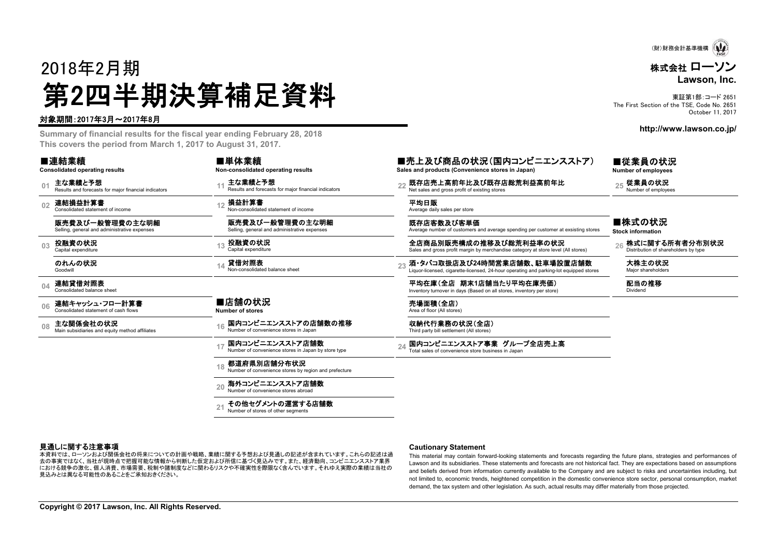2018年2月期 第2四半期決算補足資料

### 対象期間:2017年3月~2017年8月

**Summary of financial results for the fiscal year ending February 28, 2018 This covers the period from March 1, 2017 to August 31, 2017.**

| ■連結業績 |  |  |
|-------|--|--|
|       |  |  |

**Consolidated operating results**

**01**主な業績と予想 Results and forecasts for major financial indicators and and the sults and forecasts for major financial indicators 2.5 Net sales and gross profit of existing stores and forecasts for major financial indicators 2

**02**連結損益計算書 Consolidated statement of income

販売費及び一般管理費の主な明細Selling, general and administrative expenses

**03**

のれんの状況Goodwill

**08**

**04**連結貸借対照表 Consolidated balance sheet

**06**連結キャッシュ・フロー計算書

 売場面積(全店) Area of floor (All stores) ■店舗の状況 **Number of stores**

■単体業績

損益計算書

投融資の状況 Capital expenditure 貸借対照表

**Non-consolidated operating results** 主な業績と予想

> Non-consolidated statement of income販売費及び一般管理費の主な明細Selling, general and administrative expenses

Non-consolidated balance sheet

Results and forecasts for major financial indicators

 主な関係会社の状況 Main subsidiaries and equity method affiliates **<sup>16</sup>** 収納代行業務の状況(全店) Third party bill settlement (All stores) 国内コンビニエンスストアの店舗数の推移Number of convenience stores in Japan

> 国内コンビニエンスストア店舗数Number of convenience stores in Japan by store type

**18**都道府県別店舗分布状況Number of convenience stores by region and prefecture

**20**海外コンビニエンスストア店舗数Number of convenience stores abroad

**21**その他セグメントの運営する店舗数Number of stores of other segments

■売上及び商品の状況(国内コンビニエンスストア) **Sales and products (Convenience stores in Japan)**

■従業員の状況 **Number of employees**

■株式の状況 **Stock information**

**<sup>12</sup>** 平均日販 Average daily sales per store

既存店客数及び客単価Average number of customers and average spending per customer at exsisting stores

投融資の状況 Capital expenditure **<sup>13</sup>** 全店商品別販売構成の推移及び総荒利益率の状況 Sales and gross profit margin by merchandise category at store level (All stores) **<sup>26</sup>** 株式に関する所有者分布別状況 Distribution of shareholders by type

**<sup>14</sup> <sup>23</sup>** 酒・タバコ取扱店及び**24**時間営業店舗数、駐車場設置店舗数 Liquor-licensed, cigarette-licensed, 24-hour operating and parking-lot equipped stores 大株主の状況 Major shareholders

平均在庫(全店 期末1店舗当たり平均在庫売価)<br>Inventory turnover in days (Based on all stores, inventory per store) **National Dividend** 

24 国内コンビニエンスストア事業 グループ全店売上高<br>Total sales of convenience store business in Japan

**Cautionary Statement**

This material may contain forward-looking statements and forecasts regarding the future plans, strategies and performances of Lawson and its subsidiaries. These statements and forecasts are not historical fact. They are expectations based on assumptions and beliefs derived from information currently available to the Company and are subject to risks and uncertainties including, but not limited to, economic trends, heightened competition in the domestic convenience store sector, personal consumption, market demand, the tax system and other legislation. As such, actual results may differ materially from those projected.

### 見通しに関する注意事項

-<br>本資料では、ローソンおよび関係会社の将来についての計画や戦略、業績に関する予想および見通しの記述が含まれています。これらの記述は過 去の事実ではなく、当社が現時点で把握可能な情報から判断した仮定および所信に基づく見込みです。また、経済動向、コンビニエンスストア業界 における競争の激化、個人消費、市場需要、税制や諸制度などに関わるリスクや不確実性を際限なく含んでいます。それゆえ実際の業績は当社の 見込みとは異なる可能性のあることをご承知おきください。

(財)財務会計基準機構

株式会社 ローソン

**Lawson, Inc.**

東証第1部:コード 2651 The First Section of the TSE, Code No. 2651 October 11, 2017

**http://www.lawson.co.jp/**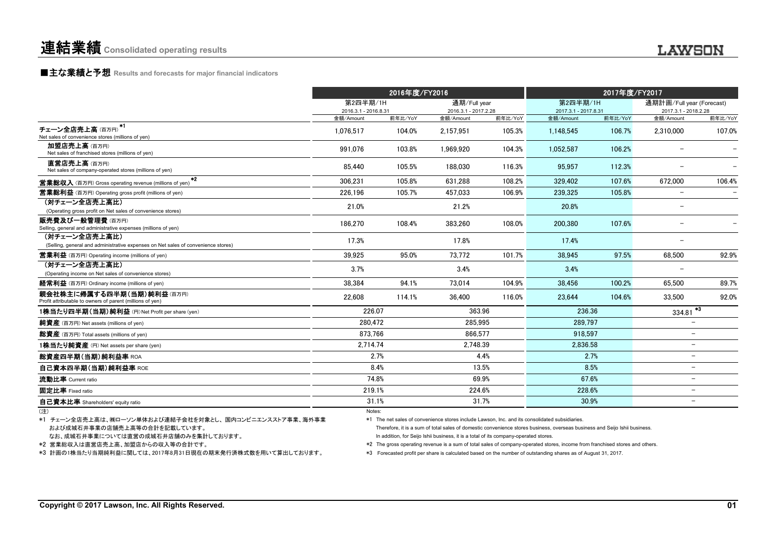### **■主な業績と予想** Results and forecasts for major financial indicators

|                                                                                                    |                                  | 2016年度/FY2016 |                                      |         | 2017年度/FY2017                    |         |                                                   |         |
|----------------------------------------------------------------------------------------------------|----------------------------------|---------------|--------------------------------------|---------|----------------------------------|---------|---------------------------------------------------|---------|
|                                                                                                    | 第2四半期/1H<br>2016.3.1 - 2016.8.31 |               | 通期/Full year<br>2016.3.1 - 2017.2.28 |         | 第2四半期/1H<br>2017.3.1 - 2017.8.31 |         | 通期計画/Full year (Forecast)<br>2017.3.1 - 2018.2.28 |         |
|                                                                                                    | 金額/Amount                        | 前年比/YoY       | 金額/Amount                            | 前年比/YoY | 金額/Amount                        | 前年比/YoY | 金額/Amount                                         | 前年比/YoY |
| $*1$<br>チェーン全店売上高(百万円)<br>Net sales of convenience stores (millions of yen)                        | 1.076.517                        | 104.0%        | 2.157.951                            | 105.3%  | 1.148.545                        | 106.7%  | 2.310.000                                         | 107.0%  |
| 加盟店売上高(百万円)<br>Net sales of franchised stores (millions of yen)                                    | 991.076                          | 103.8%        | 1.969.920                            | 104.3%  | 1,052,587                        | 106.2%  |                                                   |         |
| 直営店売上高(百万円)<br>Net sales of company-operated stores (millions of yen)                              | 85.440                           | 105.5%        | 188.030                              | 116.3%  | 95,957                           | 112.3%  |                                                   |         |
| $*2$<br><b>営業総収入</b> (百万円) Gross operating revenue (millions of yen)                               | 306.231                          | 105.8%        | 631.288                              | 108.2%  | 329.402                          | 107.6%  | 672,000                                           | 106.4%  |
| <b>営業総利益</b> (百万円) Operating gross profit (millions of yen)                                        | 226.196                          | 105.7%        | 457.033                              | 106.9%  | 239,325                          | 105.8%  |                                                   |         |
| (対チェーン全店売上高比)<br>(Operating gross profit on Net sales of convenience stores)                       | 21.0%                            |               | 21.2%                                |         | 20.8%                            |         |                                                   |         |
| 販売費及び一般管理費(百万円)<br>Selling, general and administrative expenses (millions of yen)                  | 186,270                          | 108.4%        | 383,260                              | 108.0%  | 200,380                          | 107.6%  |                                                   |         |
| (対チェーン全店売上高比)<br>(Selling, general and administrative expenses on Net sales of convenience stores) | 17.3%                            |               | 17.8%                                |         | 17.4%                            |         |                                                   |         |
| <b>営業利益</b> (百万円) Operating income (millions of yen)                                               | 39.925                           | 95.0%         | 73.772                               | 101.7%  | 38.945                           | 97.5%   | 68.500                                            | 92.9%   |
| (対チェーン全店売上高比)<br>(Operating income on Net sales of convenience stores)                             | 3.7%                             |               | 3.4%                                 |         | 3.4%                             |         |                                                   |         |
| 経常利益 (百万円) Ordinary income (millions of yen)                                                       | 38.384                           | 94.1%         | 73.014                               | 104.9%  | 38.456                           | 100.2%  | 65.500                                            | 89.7%   |
| 親会社株主に帰属する四半期(当期)純利益(百万円)<br>Profit attributable to owners of parent (millions of yen)             | 22.608                           | 114.1%        | 36.400                               | 116.0%  | 23.644                           | 104.6%  | 33.500                                            | 92.0%   |
| 1株当たり四半期(当期)純利益 (円) Net Profit per share (yen)                                                     | 226.07                           |               | 363.96                               |         | 236.36                           |         | $334.81$ <sup>*3</sup>                            |         |
| 純資産 (百万円) Net assets (millions of yen)                                                             | 280.472                          |               | 285,995                              |         | 289,797                          |         |                                                   |         |
| 総資産 (百万円) Total assets (millions of yen)                                                           | 873.766                          |               | 866.577                              |         | 918.597                          |         | $\overline{\phantom{m}}$                          |         |
| 1株当たり純資産 (円) Net assets per share (yen)                                                            | 2.714.74                         |               | 2,748.39                             |         | 2,836.58                         |         | $\overline{\phantom{m}}$                          |         |
| 総資産四半期(当期)純利益率 ROA                                                                                 |                                  | 2.7%          |                                      | 4.4%    |                                  | 2.7%    | $\overline{\phantom{0}}$                          |         |
| 自己資本四半期(当期)純利益率 ROE                                                                                |                                  | 8.4%          | 13.5%                                |         |                                  | 8.5%    | $\overline{\phantom{m}}$                          |         |
| 流動比率 Current ratio                                                                                 | 74.8%                            |               | 69.9%                                |         | 67.6%                            |         | $\overline{\phantom{0}}$                          |         |
| 固定比率 Fixed ratio                                                                                   | 219.1%                           |               | 224.6%                               |         | 228.6%                           |         | $\overline{\phantom{m}}$                          |         |
| 自己資本比率 Shareholders' equity ratio                                                                  | 31.1%                            |               | 31.7%                                |         | 30.9%                            |         | $\overline{\phantom{m}}$                          |         |
| (注)                                                                                                | Notes:                           |               |                                      |         |                                  |         |                                                   |         |

 および成城石井事業の店舗売上高等の合計を記載しています。 \*1 チェーン全店売上高は、㈱ローソン単体および連結子会社を対象とし、 国内コンビニエンスストア事業、海外事業

なお、成城石井事業については直営の成城石井店舗のみを集計しております。

\*2 営業総収入は直営店売上高、加盟店からの収入等の合計です。

\*3 計画の1株当たり当期純利益に関しては、2017年8月31日現在の期末発行済株式数を用いて算出しております。

\*1 The net sales of convenience stores include Lawson, Inc. and its consolidated subsidiaries.

Therefore, it is a sum of total sales of domestic convenience stores business, overseas business and Seijo Ishii business. In addition, for Seijo Ishii business, it is a total of its company-operated stores.

\*2 The gross operating revenue is a sum of total sales of company-operated stores, income from franchised stores and others.

\*3 Forecasted profit per share is calculated based on the number of outstanding shares as of August 31, 2017.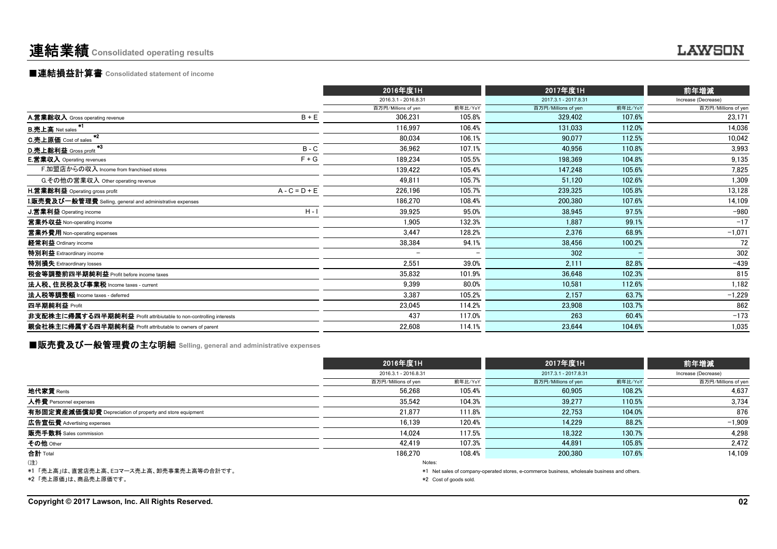# 連結業績**Consolidated operating results** ....

# ■連結損益計算書 **Consolidated statement of income**

|                                                                    | 2016年度1H                 |                          | 2017年度1H             |         | 前年増減                |
|--------------------------------------------------------------------|--------------------------|--------------------------|----------------------|---------|---------------------|
|                                                                    | 2016.3.1 - 2016.8.31     |                          | 2017.3.1 - 2017.8.31 |         | Increase (Decrease) |
|                                                                    | 百万円/Millions of yen      | 前年比/YoY                  | 百万円/Millions of yen  | 前年比/YoY | 百万円/Millions of yen |
| $B + E$<br>A.営業総収入 Gross operating revenue                         | 306,231                  | 105.8%                   | 329.402              | 107.6%  | 23,171              |
| B.売上高 Net sales. <sup>*1</sup>                                     | 116,997                  | 106.4%                   | 131,033              | 112.0%  | 14,036              |
| $*2$<br>C.売上原価 Cost of sales                                       | 80,034                   | 106.1%                   | 90,077               | 112.5%  | 10,042              |
| *3<br>$B - C$<br>D.売上総利益 Gross profit                              | 36,962                   | 107.1%                   | 40.956               | 110.8%  | 3,993               |
| $F + G$<br><b>E.営業収入</b> Operating revenues                        | 189,234                  | 105.5%                   | 198,369              | 104.8%  | 9,135               |
| F.加盟店からの収入 Income from franchised stores                           | 139,422                  | 105.4%                   | 147,248              | 105.6%  | 7,825               |
| G.その他の営業収入 Other operating revenue                                 | 49,811                   | 105.7%                   | 51,120               | 102.6%  | 1,309               |
| $A - C = D + E$<br><b>H.営業総利益</b> Operating gross profit           | 226,196                  | 105.7%                   | 239,325              | 105.8%  | 13,128              |
| <b>I.販売費及び一般管理費</b> Selling, general and administrative expenses   | 186,270                  | 108.4%                   | 200,380              | 107.6%  | 14,109              |
| $H - I$<br><b>J.営業利益</b> Operating income                          | 39,925                   | 95.0%                    | 38.945               | 97.5%   | $-980$              |
| 営業外収益 Non-operating income                                         | 1.905                    | 132.3%                   | 1.887                | 99.1%   | $-17$               |
| 営業外費用 Non-operating expenses                                       | 3,447                    | 128.2%                   | 2,376                | 68.9%   | $-1,071$            |
| 経常利益 Ordinary income                                               | 38,384                   | 94.1%                    | 38.456               | 100.2%  | 72                  |
| 特別利益 Extraordinary income                                          | $\overline{\phantom{m}}$ | $\overline{\phantom{0}}$ | 302                  |         | 302                 |
| 特別損失 Extraordinary losses                                          | 2,551                    | 39.0%                    | 2,111                | 82.8%   | $-439$              |
| 税金等調整前四半期純利益 Profit before income taxes                            | 35,832                   | 101.9%                   | 36.648               | 102.3%  | 815                 |
| 法人税、住民税及び事業税 Income taxes - current                                | 9,399                    | 80.0%                    | 10.581               | 112.6%  | 1,182               |
| 法人税等調整額 Income taxes - deferred                                    | 3,387                    | 105.2%                   | 2,157                | 63.7%   | $-1,229$            |
| 四半期純利益 Profit                                                      | 23,045                   | 114.2%                   | 23,908               | 103.7%  | 862                 |
| 非支配株主に帰属する四半期純利益 Profit attribiutable to non-controlling interests | 437                      | 117.0%                   | 263                  | 60.4%   | $-173$              |
| 親会社株主に帰属する四半期純利益 Profit attributable to owners of parent           | 22,608                   | 114.1%                   | 23,644               | 104.6%  | 1,035               |

■販売費及び一般管理費の主な明細 **Selling, general and administrative expenses**

|                                                          | 2016年度1H             |                        |                                                                                              |         | 前年増減                |  |
|----------------------------------------------------------|----------------------|------------------------|----------------------------------------------------------------------------------------------|---------|---------------------|--|
|                                                          | 2016.3.1 - 2016.8.31 |                        | 2017.3.1 - 2017.8.31                                                                         |         | Increase (Decrease) |  |
|                                                          | 百万円/Millions of yen  | 前年比/YoY                | 百万円/Millions of yen                                                                          | 前年比/YoY | 百万円/Millions of yen |  |
| 地代家賃 Rents                                               | 56.268               | 105.4%                 | 60,905                                                                                       | 108.2%  | 4,637               |  |
| 人件費 Personnel expenses                                   | 35.542               | 104.3%                 | 39.277                                                                                       | 110.5%  | 3,734               |  |
| 有形固定資産減価償却費 Depreciation of property and store equipment | 21.877               | 111.8%                 | 22.753                                                                                       | 104.0%  | 876                 |  |
| 広告宣伝費 Advertising expenses                               | 16.139               | 120.4%                 | 14.229                                                                                       | 88.2%   | $-1,909$            |  |
| <b>販売手数料</b> Sales commission                            | 14.024               | 117.5%                 | 18.322                                                                                       | 130.7%  | 4.298               |  |
| その他 Other                                                | 42.419               | 107.3%                 | 44.891                                                                                       | 105.8%  | 2,472               |  |
| 合計 Total                                                 | 186.270              | 108.4%                 | 200.380                                                                                      | 107.6%  | 14.109              |  |
| (注)                                                      | Notes:               |                        |                                                                                              |         |                     |  |
| *1 「売上高」は、直営店売上高、Eコマース売上高、卸売事業売上高等の合計です。                 |                      |                        | *1 Net sales of company-operated stores, e-commerce business, wholesale business and others. |         |                     |  |
| *2 「売上原価」は、商品売上原価です。                                     |                      | *2 Cost of goods sold. |                                                                                              |         |                     |  |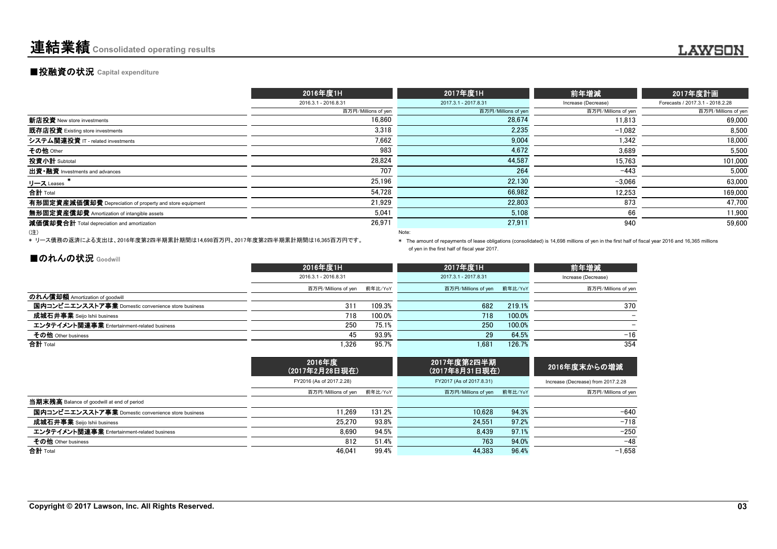# ■投融資の状況 **Capital expenditure**

|                                                          | 2016年度1H             | 2017年度1H             | 前年増減                | 2017年度計画                         |
|----------------------------------------------------------|----------------------|----------------------|---------------------|----------------------------------|
|                                                          | 2016.3.1 - 2016.8.31 | 2017.3.1 - 2017.8.31 | Increase (Decrease) | Forecasts / 2017.3.1 - 2018.2.28 |
|                                                          | 百万円/Millions of yen  | 百万円/Millions of yen  | 百万円/Millions of yen | 百万円/Millions of yen              |
| 新店投資 New store investments                               | 16.860               | 28.674               | 11.813              | 69.000                           |
| 既存店投資 Existing store investments                         | 3.318                | 2,235                | $-1.082$            | 8.500                            |
| システム関連投資 IT - related investments                        | 7.662                | 9.004                | 1,342               | 18.000                           |
| その他 Other                                                | 983                  | 4,672                | 3,689               | 5,500                            |
| 投資小計 Subtotal                                            | 28,824               | 44,587               | 15.763              | 101,000                          |
| 出資·融資 Investments and advances                           | 707                  | 264                  | $-443$              | 5,000                            |
| リース Leases                                               | 25,196               | 22,130               | $-3,066$            | 63,000                           |
| 合計 Total                                                 | 54,728               | 66,982               | 12,253              | 169,000                          |
| 有形固定資産減価償却費 Depreciation of property and store equipment | 21.929               | 22.803               | 873                 | 47,700                           |
| 無形固定資産償却費 Amortization of intangible assets              | 5.041                | 5,108                | 66                  | 11.900                           |
| 減価償却費合計 Total depreciation and amortization              | 26,971               | 27,911               | 940                 | 59,600                           |
| (注)                                                      |                      | Note:                |                     |                                  |

\* リース債務の返済による支出は、2016年度第2四半期累計期間は14,698百万円、2017年度第2四半期累計期間は16,365百万円です。

\* The amount of repayments of lease obligations (consolidated) is 14,698 millions of yen in the first half of fiscal year 2016 and 16,365 millions of yen in the first half of fiscal year 2017.

# ■のれんの状況 Goodwill

|                                                    | 2016年度1H                    |        | 2017年度1H                    |        | 前年増減                |
|----------------------------------------------------|-----------------------------|--------|-----------------------------|--------|---------------------|
|                                                    | 2016.3.1 - 2016.8.31        |        | 2017.3.1 - 2017.8.31        |        | Increase (Decrease) |
|                                                    | 百万円/Millions of yen 前年比/YoY |        | 百万円/Millions of yen 前年比/YoY |        | 百万円/Millions of yer |
| のれん償却額 Amortization of goodwill                    |                             |        |                             |        |                     |
| 国内コンビニエンスストア事業 Domestic convenience store business | 311                         | 109.3% | 682                         | 219.1% | 370                 |
| 成城石井事業 Seijo Ishii business                        | 718                         | 100.0% | 718                         | 100.0% |                     |
| エンタテイメント関連事業 Entertainment-related business        | 250                         | 75.1%  | 250                         | 100.0% |                     |
| その他 Other business                                 | 45                          | 93.9%  | 29                          | 64.5%  | $-16$               |
| 合計 Total                                           | .326                        | 95.7%  | 1.681                       | 126.7% | 354                 |
|                                                    |                             |        |                             |        |                     |

|                                                    | 2016年度                      | (2017年2月28日現在) |                          |         | 2016年度末からの増減                       |
|----------------------------------------------------|-----------------------------|----------------|--------------------------|---------|------------------------------------|
|                                                    | FY2016 (As of 2017.2.28)    |                | FY2017 (As of 2017.8.31) |         | Increase (Decrease) from 2017.2.28 |
|                                                    | 百万円/Millions of yen 前年比/YoY |                | 百万円/Millions of yen      | 前年比/YoY | 百万円/Millions of yer                |
| 当期末残高 Balance of goodwill at end of period         |                             |                |                          |         |                                    |
| 国内コンビニエンスストア事業 Domestic convenience store business | 11.269                      | 131.2%         | 10.628                   | 94.3%   | $-640$                             |
| 成城石井事業 Seijo Ishii business                        | 25.270                      | 93.8%          | 24.551                   | 97.2%   | $-718$                             |
| エンタテイメント関連事業 Entertainment-related business        | 8.690                       | 94.5%          | 8.439                    | 97.1%   | $-250$                             |
| その他 Other business                                 | 812                         | 51.4%          | 763                      | 94.0%   | $-48$                              |
| 合計 Total                                           | 46.041                      | 99.4%          | 44.383                   | 96.4%   | $-1.658$                           |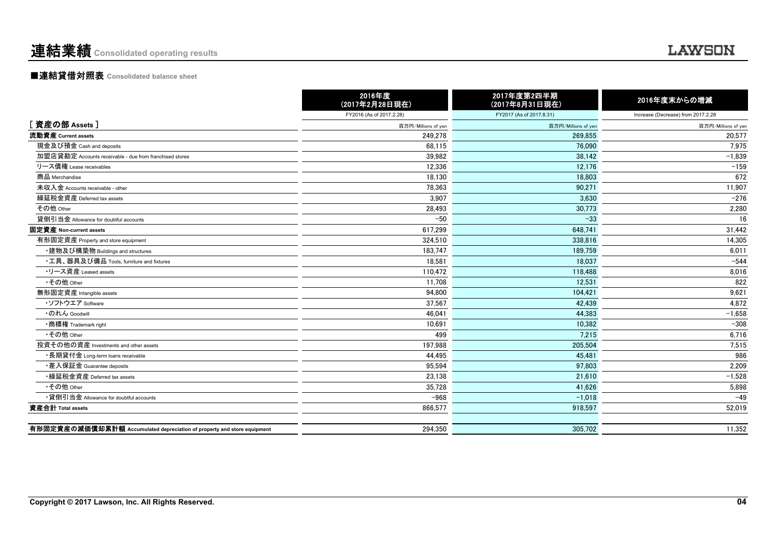# ■連結貸借対照表 **Consolidated balance sheet**

|                                                                         | 2016年度<br>(2017年2月28日現在) | 2017年度第2四半期<br>(2017年8月31日現在) | 2016年度末からの増減                       |
|-------------------------------------------------------------------------|--------------------------|-------------------------------|------------------------------------|
|                                                                         | FY2016 (As of 2017.2.28) | FY2017 (As of 2017.8.31)      | Increase (Decrease) from 2017.2.28 |
| [資産の部 Assets]                                                           | 百万円/Millions of yen      | 百万円/Millions of yer           | 百万円/Millions of yen                |
| 流動資産 Current assets                                                     | 249,278                  | 269.855                       | 20,577                             |
| 現金及び預金 Cash and deposits                                                | 68,115                   | 76,090                        | 7,975                              |
| 加盟店貸勘定 Accounts receivable - due from franchised stores                 | 39,982                   | 38,142                        | $-1,839$                           |
| リース債権 Lease receivables                                                 | 12,336                   | 12.176                        | $-159$                             |
| 商品 Merchandise                                                          | 18,130                   | 18,803                        | 672                                |
| 未収入金 Accounts receivable - other                                        | 78.363                   | 90.271                        | 11,907                             |
| 繰延税金資産 Deferred tax assets                                              | 3.907                    | 3.630                         | $-276$                             |
| その他 Other                                                               | 28,493                   | 30,773                        | 2,280                              |
| 貸倒引当金 Allowance for doubtful accounts                                   | $-50$                    | $-33$                         | 16                                 |
| 固定資産 Non-current assets                                                 | 617,299                  | 648,741                       | 31,442                             |
| 有形固定資産 Property and store equipment                                     | 324,510                  | 338,816                       | 14,305                             |
| ・建物及び構築物 Buildings and structures                                       | 183,747                  | 189,759                       | 6,011                              |
| •工具、器具及び備品 Tools, furniture and fixtures                                | 18.581                   | 18.037                        | $-544$                             |
| •リース資産 Leased assets                                                    | 110.472                  | 118,488                       | 8,016                              |
| •その他 Other                                                              | 11,708                   | 12,531                        | 822                                |
| 無形固定資産 Intangible assets                                                | 94,800                   | 104,421                       | 9,621                              |
| ・ソフトウエア Software                                                        | 37,567                   | 42,439                        | 4,872                              |
| ・のれん Goodwill                                                           | 46,041                   | 44,383                        | $-1,658$                           |
| •商標権 Trademark right                                                    | 10,691                   | 10.382                        | $-308$                             |
| •その他 Other                                                              | 499                      | 7.215                         | 6,716                              |
| 投資その他の資産 Investments and other assets                                   | 197.988                  | 205.504                       | 7,515                              |
| •長期貸付金 Long-term loans receivable                                       | 44,495                   | 45.481                        | 986                                |
| ・差入保証金 Guarantee deposits                                               | 95,594                   | 97.803                        | 2,209                              |
| •繰延税金資産 Deferred tax assets                                             | 23,138                   | 21.610                        | $-1,528$                           |
| •その他 Other                                                              | 35,728                   | 41,626                        | 5,898                              |
| •貸倒引当金 Allowance for doubtful accounts                                  | $-968$                   | $-1,018$                      | $-49$                              |
| 資産合計 Total assets                                                       | 866,577                  | 918,597                       | 52,019                             |
|                                                                         |                          |                               |                                    |
| 有形固定資産の減価償却累計額 Accumulated depreciation of property and store equipment | 294,350                  | 305.702                       | 11,352                             |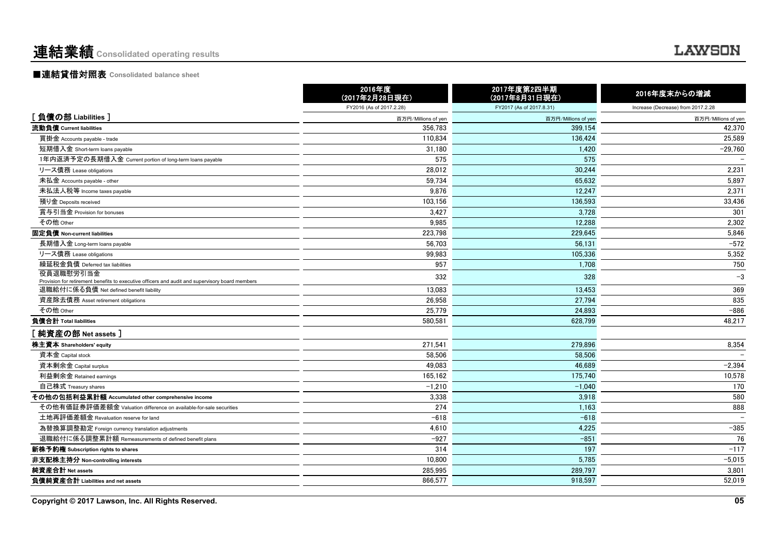# ■連結貸借対照表 **Consolidated balance sheet**

|                                                                                                              | 2016年度<br>(2017年2月28日現在) | 2017年度第2四半期<br>(2017年8月31日現在) | 2016年度末からの増減                       |
|--------------------------------------------------------------------------------------------------------------|--------------------------|-------------------------------|------------------------------------|
|                                                                                                              | FY2016 (As of 2017.2.28) | FY2017 (As of 2017.8.31)      | Increase (Decrease) from 2017.2.28 |
| [負債の部 Liabilities]                                                                                           | 百万円/Millions of yen      | 百万円/Millions of yen           | 百万円/Millions of yen                |
| 流動負債 Current liabilities                                                                                     | 356.783                  | 399.154                       | 42.370                             |
| 買掛金 Accounts payable - trade                                                                                 | 110.834                  | 136.424                       | 25,589                             |
| 短期借入金 Short-term loans payable                                                                               | 31,180                   | 1.420                         | $-29,760$                          |
| 1年内返済予定の長期借入金 Current portion of long-term loans payable                                                     | 575                      | 575                           |                                    |
| リース債務 Lease obligations                                                                                      | 28,012                   | 30.244                        | 2,231                              |
| 未払金 Accounts payable - other                                                                                 | 59.734                   | 65.632                        | 5.897                              |
| 未払法人税等 Income taxes payable                                                                                  | 9.876                    | 12.247                        | 2.371                              |
| 預り金 Deposits received                                                                                        | 103.156                  | 136.593                       | 33,436                             |
| 賞与引当金 Provision for bonuses                                                                                  | 3,427                    | 3.728                         | 301                                |
| その他 Other                                                                                                    | 9,985                    | 12.288                        | 2,302                              |
| 固定負債 Non-current liabilities                                                                                 | 223,798                  | 229,645                       | 5,846                              |
| 長期借入金 Long-term loans payable                                                                                | 56.703                   | 56.131                        | $-572$                             |
| リース債務 Lease obligations                                                                                      | 99.983                   | 105.336                       | 5,352                              |
| 繰延税金負債 Deferred tax liabilities                                                                              | 957                      | 1.708                         | 750                                |
| 役員退職慰労引当金<br>Provision for retirement benefits to executive officers and audit and supervisory board members | 332                      | 328                           | $-3$                               |
| 退職給付に係る負債 Net defined benefit liability                                                                      | 13,083                   | 13,453                        | 369                                |
| 資産除去債務 Asset retirement obligations                                                                          | 26,958                   | 27,794                        | 835                                |
| その他 Other                                                                                                    | 25,779                   | 24,893                        | $-886$                             |
| 負債合計 Total liabilities                                                                                       | 580,581                  | 628.799                       | 48,217                             |
| [ 純資産の部 Net assets ]                                                                                         |                          |                               |                                    |
| 株主資本 Shareholders' equity                                                                                    | 271,541                  | 279.896                       | 8,354                              |
| 資本金 Capital stock                                                                                            | 58,506                   | 58,506                        |                                    |
| 資本剰余金 Capital surplus                                                                                        | 49,083                   | 46,689                        | $-2,394$                           |
| 利益剰余金 Retained earnings                                                                                      | 165,162                  | 175.740                       | 10,578                             |
| 自己株式 Treasury shares                                                                                         | $-1,210$                 | $-1,040$                      | 170                                |
| その他の包括利益累計額 Accumulated other comprehensive income                                                           | 3,338                    | 3,918                         | 580                                |
| その他有価証券評価差額金 Valuation difference on available-for-sale securities                                           | 274                      | 1,163                         | 888                                |
| 土地再評価差額金 Revaluation reserve for land                                                                        | $-618$                   | $-618$                        |                                    |
| 為替換算調整勘定 Foreign currency translation adjustments                                                            | 4,610                    | 4,225                         | $-385$                             |
| 退職給付に係る調整累計額 Remeasurements of defined benefit plans                                                         | $-927$                   | $-851$                        | 76                                 |
| 新株予約権 Subscription rights to shares                                                                          | 314                      | 197                           | $-117$                             |
| 非支配株主持分 Non-controlling interests                                                                            | 10,800                   | 5,785                         | $-5,015$                           |
| 純資産合計 Net assets                                                                                             | 285,995                  | 289,797                       | 3,801                              |
| 負債純資産合計 Liabilities and net assets                                                                           | 866,577                  | 918,597                       | 52,019                             |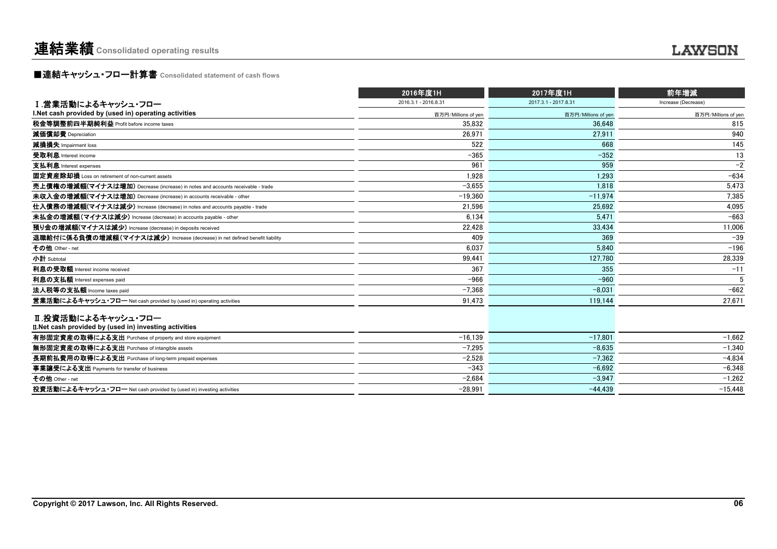連結業績 **Consolidated operating results** .......

■連結キャッシュ・フロー計算書 **Consolidated statement of cash flows**

|                                                                                | 2016年度1H             | 2017年度1H             | 前年増減                |  |
|--------------------------------------------------------------------------------|----------------------|----------------------|---------------------|--|
| Ⅰ.営業活動によるキャッシュ・フロー                                                             | 2016.3.1 - 2016.8.31 | 2017.3.1 - 2017.8.31 | Increase (Decrease) |  |
| I. Net cash provided by (used in) operating activities                         | 百万円/Millions of yen  | 百万円/Millions of yen  | 百万円/Millions of yen |  |
| 税金等調整前四半期純利益 Profit before income taxes                                        | 35.832               | 36.648               | 815                 |  |
| 減価償却費 Depreciation                                                             | 26.971               | 27.911               | 940                 |  |
| 減損損失 Impairment loss                                                           | 522                  | 668                  | 145                 |  |
| 受取利息 Interest income                                                           | $-365$               | $-352$               | 13                  |  |
| 支払利息 Interest expenses                                                         | 961                  | 959                  | $-2$                |  |
| 固定資産除却損 Loss on retirement of non-current assets                               | 1,928                | 1.293                | $-634$              |  |
| 売上債権の増減額(マイナスは増加) Decrease (increase) in notes and accounts receivable - trade | $-3.655$             | 1.818                | 5.473               |  |
| 未収入金の増減額(マイナスは増加) Decrease (increase) in accounts receivable - other           | $-19.360$            | $-11.974$            | 7,385               |  |
| 仕入債務の増減額(マイナスは減少) Increase (decrease) in notes and accounts payable - trade    | 21.596               | 25.692               | 4.095               |  |
| 未払金の増減額(マイナスは減少) Increase (decrease) in accounts payable - other               | 6.134                | 5.471                | $-663$              |  |
| 預り金の増減額(マイナスは減少) Increase (decrease) in deposits received                      | 22,428               | 33,434               | 11,006              |  |
| 退職給付に係る負債の増減額(マイナスは減少) Increase (decrease) in net defined benefit liability    | 409                  | 369                  | $-39$               |  |
| その他 Other - net                                                                | 6.037                | 5.840                | $-196$              |  |
| 小計 Subtotal                                                                    | 99.441               | 127.780              | 28.339              |  |
| 利息の受取額 Interest income received                                                | 367                  | 355                  | $-11$               |  |
| 利息の支払額 Interest expenses paid                                                  | $-966$               | $-960$               |                     |  |
| 法人税等の支払額 Income taxes paid                                                     | $-7.368$             | $-8.031$             | $-662$              |  |
| 営業活動によるキャッシュ・フロー Net cash provided by (used in) operating activities           | 91,473               | 119.144              | 27,671              |  |
| Ⅱ.投資活動によるキャッシュ・フロー                                                             |                      |                      |                     |  |
| II. Net cash provided by (used in) investing activities                        |                      |                      |                     |  |
| 有形固定資産の取得による支出 Purchase of property and store equipment                        | $-16.139$            | $-17.801$            | $-1.662$            |  |
| 無形固定資産の取得による支出 Purchase of intangible assets                                   | $-7,295$             | $-8.635$             | $-1,340$            |  |
| 長期前払費用の取得による支出 Purchase of long-term prepaid expenses                          | $-2.528$             | $-7.362$             | $-4.834$            |  |
| 事業讓受による支出 Payments for transfer of business                                    | $-343$               | $-6.692$             | $-6.348$            |  |
| その他 Other - net                                                                | $-2.684$             | $-3.947$             | $-1.262$            |  |
| 投資活動によるキャッシュ・フロー Net cash provided by (used in) investing activities           | $-28.991$            | $-44.439$            | $-15.448$           |  |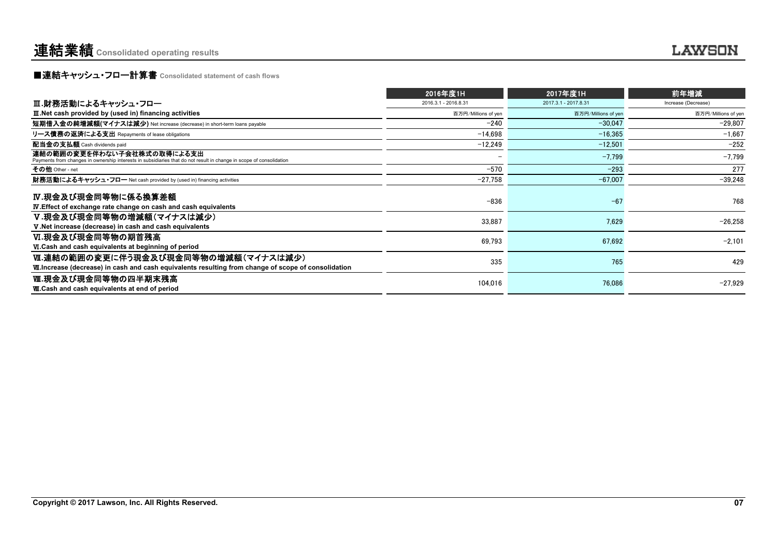**■連結キャッシュ・フロー計算書** Consolidated statement of cash flows

|                                                                                                                                                   | 2016年度1H             | 2017年度1H             | 前年増減                |
|---------------------------------------------------------------------------------------------------------------------------------------------------|----------------------|----------------------|---------------------|
| Ⅲ.財務活動によるキャッシュ・フロー                                                                                                                                | 2016.3.1 - 2016.8.31 | 2017.3.1 - 2017.8.31 | Increase (Decrease) |
| III. Net cash provided by (used in) financing activities                                                                                          | 百万円/Millions of yen  | 百万円/Millions of yen  | 百万円/Millions of yen |
| 短期借入金の純増減額(マイナスは減少) Net increase (decrease) in short-term loans payable                                                                           | $-240$               | $-30.047$            | $-29,807$           |
| リース債務の返済による支出 Repayments of lease obligations                                                                                                     | $-14.698$            | $-16.365$            | $-1,667$            |
| 配当金の支払額 Cash dividends paid                                                                                                                       | $-12.249$            | $-12.501$            | $-252$              |
| 連結の範囲の変更を伴わない子会社株式の取得による支出<br>Payments from changes in ownership interests in subsidiaries that do not result in change in scope of consolidation |                      | $-7.799$             | $-7,799$            |
| その他 Other - net                                                                                                                                   | $-570$               | $-293$               | 277                 |
| 財務活動によるキャッシュ・フロー Net cash provided by (used in) financing activities                                                                              | $-27,758$            | $-67.007$            | $-39.248$           |
| IV.現金及び現金同等物に係る換算差額<br><b>IV.</b> Effect of exchange rate change on cash and cash equivalents                                                     | $-836$               | $-67$                | 768                 |
| V.現金及び現金同等物の増減額(マイナスは減少)<br>V. Net increase (decrease) in cash and cash equivalents                                                               | 33,887               | 7,629                | $-26,258$           |
| Ⅵ.現金及び現金同等物の期首残高<br>VI.Cash and cash equivalents at beginning of period                                                                           | 69,793               | 67.692               | $-2.101$            |
| Ⅵ.連結の範囲の変更に伴う現金及び現金同等物の増減額(マイナスは減少)<br>VII. Increase (decrease) in cash and cash equivalents resulting from change of scope of consolidation      | 335                  | 765                  | 429                 |
| Ⅷ.現金及び現金同等物の四半期末残高<br><b>W.Cash and cash equivalents at end of period</b>                                                                         | 104,016              | 76,086               | $-27,929$           |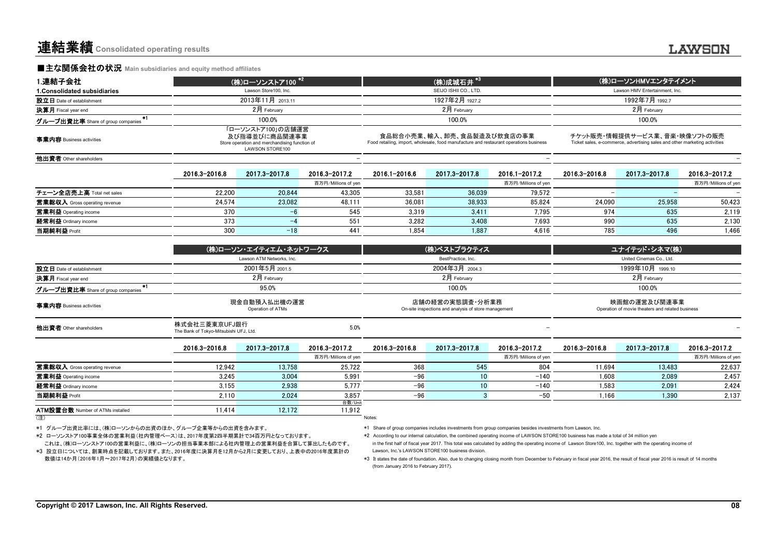**■主な関係会社の状況** Main subsidiaries and equity method affiliates

| 1 連結子会社                                   |                                                         | (株)ローソンストア100 <sup>*2</sup>                                                                                   |                     |                                    | (株)成城石井 <sup>*3</sup>                                                                                                |                                                                  |                                                                                                            | (株)ローソンHMVエンタテイメント |                     |  |
|-------------------------------------------|---------------------------------------------------------|---------------------------------------------------------------------------------------------------------------|---------------------|------------------------------------|----------------------------------------------------------------------------------------------------------------------|------------------------------------------------------------------|------------------------------------------------------------------------------------------------------------|--------------------|---------------------|--|
| 1. Consolidated subsidiaries              |                                                         | Lawson Store100, Inc.                                                                                         |                     |                                    | SEIJO ISHII CO., LTD.                                                                                                |                                                                  | Lawson HMV Entertainment. Inc.                                                                             |                    |                     |  |
| 設立日 Date of establishment                 |                                                         | 2013年11月 2013.11                                                                                              |                     |                                    | 1927年2月 1927.2                                                                                                       |                                                                  |                                                                                                            |                    |                     |  |
| 決算月 Fiscal year end                       |                                                         | 2月 February                                                                                                   |                     |                                    | 2月 February                                                                                                          |                                                                  |                                                                                                            | 2月 February        |                     |  |
| $*1$<br>グループ出資比率 Share of group companies |                                                         | 100.0%                                                                                                        |                     |                                    | 100.0%                                                                                                               |                                                                  |                                                                                                            | 100.0%             |                     |  |
| 事業内容 Business activities                  |                                                         | 「ローソンストア100」の店舗運営<br>及び指導並びに商品関連事業<br>Store operation and merchandising function of<br><b>LAWSON STORE100</b> |                     |                                    | 食品総合小売業、輸入、卸売、食品製造及び飲食店の事業<br>Food retailing, import, wholesale, food manufacture and restaurant operations business |                                                                  | チケット販売・情報提供サービス業、音楽・映像ソフトの販売<br>Ticket sales, e-commerce, advertising sales and other marketing activities |                    |                     |  |
| 他出資者 Other shareholders                   |                                                         |                                                                                                               |                     |                                    |                                                                                                                      |                                                                  |                                                                                                            |                    |                     |  |
|                                           | 2016.3-2016.8                                           | 2017.3-2017.8                                                                                                 | 2016.3-2017.2       | 2016.1-2016.6                      | 2017.3-2017.8                                                                                                        | 2016.1-2017.2                                                    | 2016.3-2016.8                                                                                              | 2017.3-2017.8      | 2016.3-2017.2       |  |
|                                           |                                                         |                                                                                                               | 百万円/Millions of yen |                                    |                                                                                                                      | 百万円/Millions of yen                                              |                                                                                                            |                    | 百万円/Millions of yen |  |
| チェーン全店売上高 Total net sales                 | 22.200                                                  | 20.844                                                                                                        | 43,305              | 33,581                             | 36,039                                                                                                               | 79,572                                                           |                                                                                                            |                    |                     |  |
| 営業総収入 Gross operating revenue             | 24.574                                                  | 23.082                                                                                                        | 48.111              | 36.081                             | 38,933                                                                                                               | 85.824                                                           | 24,090                                                                                                     | 25,958             | 50,423              |  |
| 営業利益 Operating income                     | 370                                                     | $-6$                                                                                                          | 545                 | 3,319                              | 3,411                                                                                                                | 7,795                                                            | 974                                                                                                        | 635                | 2,119               |  |
| 経常利益 Ordinary income                      | 373                                                     | $-4$                                                                                                          | 551                 | 3,282                              | 3,408                                                                                                                | 7.693                                                            | 990                                                                                                        | 635                | 2,130               |  |
| 当期純利益 Profit                              | 300                                                     | $-18$                                                                                                         | 441                 | 1.854                              | 1.887                                                                                                                | 4.616                                                            | 785                                                                                                        | 496                | 1,466               |  |
|                                           |                                                         | (株)ローソン・エイティエム・ネットワークス<br>Lawson ATM Networks, Inc.                                                           |                     | (株)ベストプラクティス<br>BestPractice, Inc. |                                                                                                                      |                                                                  | ユナイテッド・シネマ(株)<br>United Cinemas Co., Ltd.                                                                  |                    |                     |  |
| 設立日 Date of establishment                 |                                                         | 2001年5月 2001.5                                                                                                |                     |                                    | 2004年3月 2004.3                                                                                                       |                                                                  | 1999年10月 1999.10                                                                                           |                    |                     |  |
| 決算月 Fiscal year end                       |                                                         | 2月 February                                                                                                   |                     |                                    | 2月 February                                                                                                          |                                                                  |                                                                                                            | 2月 February        |                     |  |
| グループ出資比率 Share of group companies         |                                                         | 95.0%                                                                                                         |                     |                                    | 100.0%                                                                                                               |                                                                  |                                                                                                            | 100.0%             |                     |  |
| 事業内容 Business activities                  |                                                         | 現金自動預入払出機の運営<br>Operation of ATMs                                                                             |                     |                                    | 店舗の経営の実態調査・分析業務<br>On-site inspections and analysis of store management                                              | 映画館の運営及び関連事業<br>Operation of movie theaters and related business |                                                                                                            |                    |                     |  |
| 他出資者 Other shareholders                   | 株式会社三菱東京UFJ銀行<br>The Bank of Tokyo-Mitsubishi UFJ, Ltd. |                                                                                                               | 5.0%                |                                    |                                                                                                                      |                                                                  |                                                                                                            |                    |                     |  |
|                                           | 2016.3-2016.8                                           | 2017.3-2017.8                                                                                                 | 2016.3-2017.2       | 2016.3-2016.8                      | 2017.3-2017.8                                                                                                        | 2016.3-2017.2                                                    | 2016.3-2016.8                                                                                              | 2017.3-2017.8      | 2016.3-2017.2       |  |
|                                           |                                                         |                                                                                                               | 百万円/Millions of yen |                                    |                                                                                                                      | 百万円/Millions of yen                                              |                                                                                                            |                    | 百万円/Millions of yen |  |
| 営業総収入 Gross operating revenue             | 12.942                                                  | 13,758                                                                                                        | 25,722              | 368                                | 545                                                                                                                  | 804                                                              | 11,694                                                                                                     | 13,483             | 22,637              |  |
| 営業利益 Operating income                     | 3.245                                                   | 3.004                                                                                                         | 5.991               | $-96$                              | 10                                                                                                                   | $-140$                                                           | 1,608                                                                                                      | 2.089              | 2,457               |  |
| 経常利益 Ordinary income                      | 3.155                                                   | 2,938                                                                                                         | 5.777               | $-96$                              | 10                                                                                                                   | $-140$                                                           | 1,583                                                                                                      | 2.091              | 2,424               |  |
| 当期純利益 Profit                              | 2,110                                                   | 2,024                                                                                                         | 3.857               | $-96$                              | $\overline{3}$                                                                                                       | $-50$                                                            | 1,166                                                                                                      | 1.390              | 2,137               |  |
| ATM設置台数 Number of ATMs installed          | 11.414                                                  | 12.172                                                                                                        | 台数/Unit<br>11.912   |                                    |                                                                                                                      |                                                                  |                                                                                                            |                    |                     |  |
| (注)                                       |                                                         |                                                                                                               |                     | Notes:                             |                                                                                                                      |                                                                  |                                                                                                            |                    |                     |  |

\*1 グループ出資比率には、(株)ローソンからの出資のほか、グループ企業等からの出資を含みます。

これは、(株)ローソンストア100の営業利益に、(株)ローソンの担当事業本部による社内管理上の営業利益を合算して算出したものです。 \*2 ローソンストア100事業全体の営業利益(社内管理ベース)は、2017年度第2四半期累計で34百万円となっております。

数値は14か月(2016年1月~2017年2月)の実績値となります。\*3 設立日については、創業時点を記載しております。また、2016年度に決算月を12月から2月に変更しており、上表中の2016年度累計の \*1 Share of group companies includes investments from group companies besides investments from Lawson, Inc.

in the first half of fiscal year 2017. This total was calculated by adding the operating income of Lawson Store100, Inc. together with the operating income of Lawson, Inc.'s LAWSON STORE100 business division. \*2 According to our internal calculation, the combined operating income of LAWSON STORE100 business has made a total of 34 million yen

 \*3 It states the date of foundation. Also, due to changing closing month from December to February in fiscal year 2016, the result of fiscal year 2016 is result of 14 months (from January 2016 to February 2017).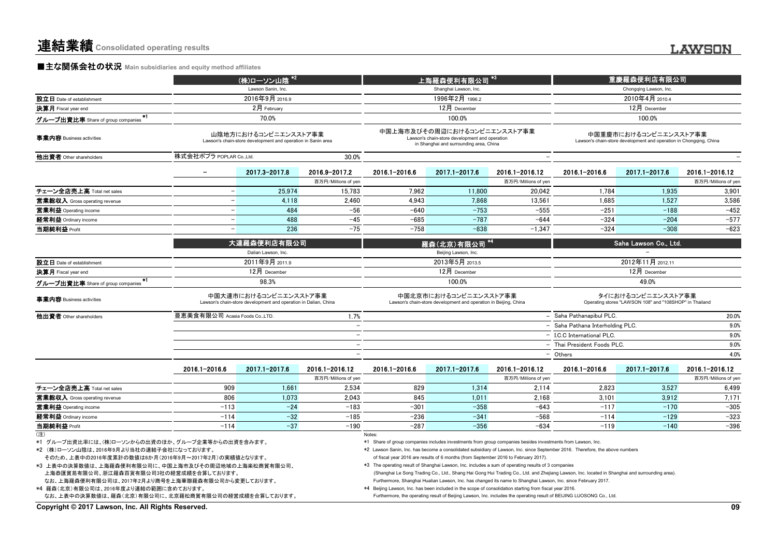# **■主な関係会社の状況** Main subsidiaries and equity method affiliates

|                                                                                                                                                                                                                                                                                                                                                                                                               |                                | (株)ローソン山陰                                                                                |                                      |                                                                                                                                                                                                                                                                                                                                                                                                                                                                          | ——<br>上海羅森便利 <u>有限公司 *3</u>                                                                                              |                                                                                                               |                                                                                                                                                                                                                                                                        | 重慶羅森便利店有限公司                                                                                 |                                       |
|---------------------------------------------------------------------------------------------------------------------------------------------------------------------------------------------------------------------------------------------------------------------------------------------------------------------------------------------------------------------------------------------------------------|--------------------------------|------------------------------------------------------------------------------------------|--------------------------------------|--------------------------------------------------------------------------------------------------------------------------------------------------------------------------------------------------------------------------------------------------------------------------------------------------------------------------------------------------------------------------------------------------------------------------------------------------------------------------|--------------------------------------------------------------------------------------------------------------------------|---------------------------------------------------------------------------------------------------------------|------------------------------------------------------------------------------------------------------------------------------------------------------------------------------------------------------------------------------------------------------------------------|---------------------------------------------------------------------------------------------|---------------------------------------|
|                                                                                                                                                                                                                                                                                                                                                                                                               |                                | Lawson Sanin, Inc.                                                                       |                                      |                                                                                                                                                                                                                                                                                                                                                                                                                                                                          | Shanghai Lawson, Inc.                                                                                                    |                                                                                                               |                                                                                                                                                                                                                                                                        | Chongging Lawson, Inc.                                                                      |                                       |
| 設立日 Date of establishment                                                                                                                                                                                                                                                                                                                                                                                     |                                | 2016年9月 2016.9                                                                           |                                      |                                                                                                                                                                                                                                                                                                                                                                                                                                                                          | 1996年2月 1996.2                                                                                                           |                                                                                                               |                                                                                                                                                                                                                                                                        | 2010年4月 2010.4                                                                              |                                       |
| 決算月 Fiscal year end                                                                                                                                                                                                                                                                                                                                                                                           |                                | 2月 February                                                                              |                                      |                                                                                                                                                                                                                                                                                                                                                                                                                                                                          | 12月 December                                                                                                             |                                                                                                               |                                                                                                                                                                                                                                                                        | 12月 December                                                                                |                                       |
| -*1<br>グループ出資比率 Share of group companies                                                                                                                                                                                                                                                                                                                                                                      |                                | 70.0%                                                                                    |                                      |                                                                                                                                                                                                                                                                                                                                                                                                                                                                          | 100.0%                                                                                                                   |                                                                                                               |                                                                                                                                                                                                                                                                        | 100.0%                                                                                      |                                       |
| 事業内容 Business activities                                                                                                                                                                                                                                                                                                                                                                                      |                                | 山陰地方におけるコンビニエンスストア事業<br>Lawson's chain-store development and operation in Sanin area     |                                      |                                                                                                                                                                                                                                                                                                                                                                                                                                                                          | 中国上海市及びその周辺におけるコンビニエンスストア事業<br>Lawson's chain-store development and operation<br>in Shanghai and surrounding area, China |                                                                                                               |                                                                                                                                                                                                                                                                        | 中国重慶市におけるコンビニエンスストア事業<br>Lawson's chain-store development and operation in Chongqing, China |                                       |
| 他出資者 Other shareholders                                                                                                                                                                                                                                                                                                                                                                                       | 株式会社ポプラ POPLAR Co.,Ltd.        |                                                                                          | 30.0%                                |                                                                                                                                                                                                                                                                                                                                                                                                                                                                          |                                                                                                                          |                                                                                                               |                                                                                                                                                                                                                                                                        |                                                                                             |                                       |
|                                                                                                                                                                                                                                                                                                                                                                                                               | $\overline{\phantom{0}}$       | 2017.3-2017.8                                                                            | 2016.9-2017.2<br>百万円/Millions of yen | 2016.1-2016.6                                                                                                                                                                                                                                                                                                                                                                                                                                                            | 2017.1-2017.6                                                                                                            | 2016.1-2016.12<br>百万円/Millions of yen                                                                         | 2016.1-2016.6                                                                                                                                                                                                                                                          | 2017.1-2017.6                                                                               | 2016.1-2016.12<br>百万円/Millions of yen |
| チェーン全店売上高 Total net sales                                                                                                                                                                                                                                                                                                                                                                                     |                                | 25,974                                                                                   | 15,783                               | 7,962                                                                                                                                                                                                                                                                                                                                                                                                                                                                    | 11,800                                                                                                                   | 20,042                                                                                                        | 1,784                                                                                                                                                                                                                                                                  | 1,935                                                                                       | 3,901                                 |
| 営業総収入 Gross operating revenue                                                                                                                                                                                                                                                                                                                                                                                 | $\equiv$                       | 4,118                                                                                    | 2.460                                | 4.943                                                                                                                                                                                                                                                                                                                                                                                                                                                                    | 7,868                                                                                                                    | 13,561                                                                                                        | 1,685                                                                                                                                                                                                                                                                  | 1.527                                                                                       | 3,586                                 |
| 営業利益 Operating income                                                                                                                                                                                                                                                                                                                                                                                         | $\overline{\phantom{a}}$       | 484                                                                                      | $-56$                                | $-640$                                                                                                                                                                                                                                                                                                                                                                                                                                                                   | $-753$                                                                                                                   | $-555$                                                                                                        | $-251$                                                                                                                                                                                                                                                                 | $-188$                                                                                      | $-452$                                |
| 経常利益 Ordinary income                                                                                                                                                                                                                                                                                                                                                                                          | $\overline{\phantom{a}}$       | 488                                                                                      | $-45$                                | $-685$                                                                                                                                                                                                                                                                                                                                                                                                                                                                   | $-787$                                                                                                                   | $-644$                                                                                                        | $-324$                                                                                                                                                                                                                                                                 | $-204$                                                                                      | $-577$                                |
| 当期純利益 Profit                                                                                                                                                                                                                                                                                                                                                                                                  | $\overline{a}$                 | 236                                                                                      | $-75$                                | $-758$                                                                                                                                                                                                                                                                                                                                                                                                                                                                   | $-838$                                                                                                                   | $-1.347$                                                                                                      | $-324$                                                                                                                                                                                                                                                                 | $-308$                                                                                      | $-623$                                |
|                                                                                                                                                                                                                                                                                                                                                                                                               |                                | 大連羅森便利店有限公司<br>Dalian Lawson, Inc.                                                       |                                      |                                                                                                                                                                                                                                                                                                                                                                                                                                                                          | 羅森(北京)有限公司 *4<br>Beijing Lawson, Inc.                                                                                    |                                                                                                               |                                                                                                                                                                                                                                                                        | Saha Lawson Co., Ltd.                                                                       |                                       |
| 設立日 Date of establishment                                                                                                                                                                                                                                                                                                                                                                                     |                                | 2011年9月 2011.9                                                                           |                                      |                                                                                                                                                                                                                                                                                                                                                                                                                                                                          | 2013年5月 2013.5                                                                                                           |                                                                                                               |                                                                                                                                                                                                                                                                        | 2012年11月 2012.11                                                                            |                                       |
| 決算月 Fiscal year end                                                                                                                                                                                                                                                                                                                                                                                           |                                | 12月 December                                                                             |                                      |                                                                                                                                                                                                                                                                                                                                                                                                                                                                          | 12月 December                                                                                                             |                                                                                                               |                                                                                                                                                                                                                                                                        | 12月 December                                                                                |                                       |
| $*1$<br>グループ出資比率 Share of group companies                                                                                                                                                                                                                                                                                                                                                                     |                                | 98.3%                                                                                    |                                      |                                                                                                                                                                                                                                                                                                                                                                                                                                                                          | 100.0%                                                                                                                   |                                                                                                               |                                                                                                                                                                                                                                                                        | 49.0%                                                                                       |                                       |
| 事業内容 Business activities                                                                                                                                                                                                                                                                                                                                                                                      |                                | 中国大連市におけるコンビニエンスストア事業<br>Lawson's chain-store development and operation in Dalian, China |                                      |                                                                                                                                                                                                                                                                                                                                                                                                                                                                          | 中国北京市におけるコンビニエンスストア事業<br>Lawson's chain-store development and operation in Beijing, China                                |                                                                                                               |                                                                                                                                                                                                                                                                        | タイにおけるコンビニエンスストア事業<br>Operating stores "LAWSON 108" and "108SHOP" in Thailand               |                                       |
| 他出資者 Other shareholders                                                                                                                                                                                                                                                                                                                                                                                       | 亜恵美食有限公司 Acasia Foods Co.,LTD. |                                                                                          | 1.7%                                 |                                                                                                                                                                                                                                                                                                                                                                                                                                                                          |                                                                                                                          |                                                                                                               | - Saha Pathanapibul PLC.                                                                                                                                                                                                                                               |                                                                                             | 20.0%                                 |
|                                                                                                                                                                                                                                                                                                                                                                                                               |                                |                                                                                          | $\overline{\phantom{a}}$             |                                                                                                                                                                                                                                                                                                                                                                                                                                                                          |                                                                                                                          |                                                                                                               | - Saha Pathana Interholding PLC.                                                                                                                                                                                                                                       |                                                                                             | 9.0%                                  |
|                                                                                                                                                                                                                                                                                                                                                                                                               |                                |                                                                                          |                                      |                                                                                                                                                                                                                                                                                                                                                                                                                                                                          |                                                                                                                          |                                                                                                               | - I.C.C International PLC.                                                                                                                                                                                                                                             |                                                                                             | 9.0%                                  |
|                                                                                                                                                                                                                                                                                                                                                                                                               |                                |                                                                                          |                                      |                                                                                                                                                                                                                                                                                                                                                                                                                                                                          |                                                                                                                          |                                                                                                               | - Thai President Foods PLC.                                                                                                                                                                                                                                            |                                                                                             | 9.0%                                  |
|                                                                                                                                                                                                                                                                                                                                                                                                               |                                |                                                                                          |                                      |                                                                                                                                                                                                                                                                                                                                                                                                                                                                          |                                                                                                                          |                                                                                                               | - Others                                                                                                                                                                                                                                                               |                                                                                             | 4.0%                                  |
|                                                                                                                                                                                                                                                                                                                                                                                                               | 2016.1-2016.6                  | 2017.1-2017.6                                                                            | 2016.1-2016.12                       | 2016.1-2016.6                                                                                                                                                                                                                                                                                                                                                                                                                                                            | 2017.1-2017.6                                                                                                            | 2016.1-2016.12                                                                                                | 2016.1-2016.6                                                                                                                                                                                                                                                          | 2017.1-2017.6                                                                               | 2016.1-2016.12                        |
|                                                                                                                                                                                                                                                                                                                                                                                                               |                                |                                                                                          | 百万円/Millions of yen                  |                                                                                                                                                                                                                                                                                                                                                                                                                                                                          |                                                                                                                          | 百万円/Millions of yen                                                                                           |                                                                                                                                                                                                                                                                        |                                                                                             | 百万円/Millions of yen                   |
| チェーン全店売上高 Total net sales                                                                                                                                                                                                                                                                                                                                                                                     | 909                            | 1.661                                                                                    | 2.534                                | 829                                                                                                                                                                                                                                                                                                                                                                                                                                                                      | 1.314                                                                                                                    | 2.114                                                                                                         | 2.823                                                                                                                                                                                                                                                                  | 3.527                                                                                       | 6,499                                 |
| 営業総収入 Gross operating revenue                                                                                                                                                                                                                                                                                                                                                                                 | 806                            | 1,073                                                                                    | 2,043                                | 845                                                                                                                                                                                                                                                                                                                                                                                                                                                                      | 1,011                                                                                                                    | 2,168                                                                                                         | 3,101                                                                                                                                                                                                                                                                  | 3,912                                                                                       | 7,171                                 |
| 営業利益 Operating income                                                                                                                                                                                                                                                                                                                                                                                         | $-113$                         | $-24$                                                                                    | $-183$                               | $-301$                                                                                                                                                                                                                                                                                                                                                                                                                                                                   | $-358$                                                                                                                   | $-643$                                                                                                        | $-117$                                                                                                                                                                                                                                                                 | $-170$                                                                                      | $-305$                                |
| 経常利益 Ordinary income                                                                                                                                                                                                                                                                                                                                                                                          | $-114$                         | $-32$                                                                                    | $-185$                               | $-236$                                                                                                                                                                                                                                                                                                                                                                                                                                                                   | $-341$                                                                                                                   | $-568$                                                                                                        | $-114$                                                                                                                                                                                                                                                                 | $-129$                                                                                      | $-323$                                |
| 当期純利益 Profit                                                                                                                                                                                                                                                                                                                                                                                                  | $-114$                         | $-37$                                                                                    | $-190$                               | $-287$                                                                                                                                                                                                                                                                                                                                                                                                                                                                   | $-356$                                                                                                                   | $-634$                                                                                                        | $-119$                                                                                                                                                                                                                                                                 | $-140$                                                                                      | $-396$                                |
| (注)<br>*1 グループ出資比率には、(株)ローソンからの出資のほか、グループ企業等からの出資を含みます。<br>*2 (株)ローソン山陰は、2016年9月より当社の連結子会社になっております。<br>そのため、上表中の2016年度累計の数値は6か月(2016年9月~2017年2月)の実績値となります。<br>*3 上表中の決算数値は、上海羅森便利有限公司に、中国上海市及びその周辺地域の上海楽松商貿有限公司、<br>上海恭匯貿易有限公司、浙江羅森百貨有限公司3社の経営成績を合算しております。<br>なお、上海羅森便利有限公司は、2017年2月より商号を上海華聯羅森有限公司から変更しております。<br>*4 羅森(北京)有限公司は、2016年度より連結の範囲に含めております。<br>なお、上表中の決算数値は、羅森(北京)有限公司に、北京羅松商貿有限公司の経営成績を合算しております。 |                                |                                                                                          |                                      | Notes:<br>*1 Share of group companies includes investments from group companies besides investments from Lawson, Inc.<br>*2 Lawson Sanin, Inc. has become a consolidated subsidiary of Lawson, Inc. since September 2016. Therefore, the above numbers<br>*3 The operating result of Shanghai Lawson, Inc. includes a sum of operating results of 3 companies<br>*4 Beijing Lawson, Inc. has been included in the scope of consolidation starting from fiscal year 2016. | of fiscal year 2016 are results of 6 months (from September 2016 to February 2017).                                      | Furthermore, Shanghai Hualian Lawson, Inc. has changed its name to Shanghai Lawson, Inc. since February 2017. | (Shanghai Le Song Trading Co., Ltd., Shang Hai Gong Hui Trading Co., Ltd. and Zhejiang Lawson, Inc. located in Shanghai and surrounding area).<br>Furthermore, the operating result of Beijing Lawson, Inc. includes the operating result of BEIJING LUOSONG Co., Ltd. |                                                                                             |                                       |
| Copyright © 2017 Lawson, Inc. All Rights Reserved.                                                                                                                                                                                                                                                                                                                                                            |                                |                                                                                          |                                      |                                                                                                                                                                                                                                                                                                                                                                                                                                                                          |                                                                                                                          |                                                                                                               |                                                                                                                                                                                                                                                                        |                                                                                             | 09                                    |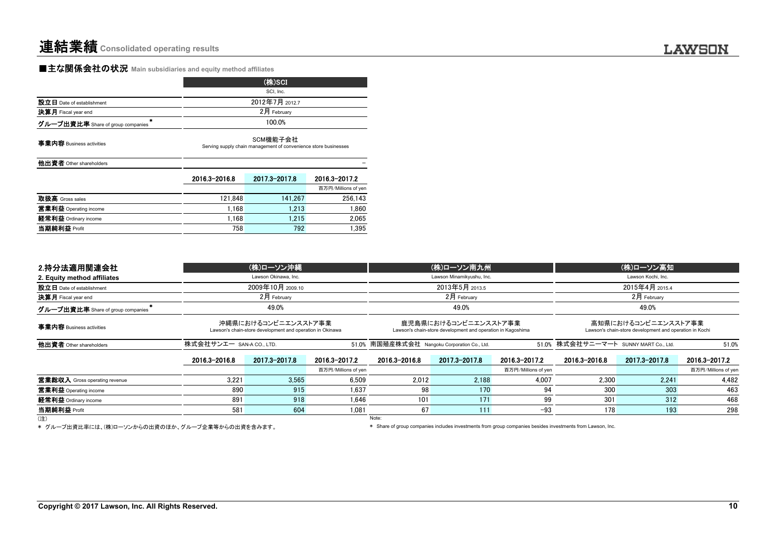# ■主な関係会社の状況 **Main subsidiaries and equity method affiliates**

|                                   | (株)SCI         |
|-----------------------------------|----------------|
|                                   | SCI. Inc.      |
| 設立日 Date of establishment         | 2012年7月 2012.7 |
| 決算月 Fiscal year end               | 2月 February    |
| グループ出資比率 Share of group companies | 100.0%         |
|                                   |                |

**事業内容** Business activities

SCM機能子会社Serving supply chain management of convenience store businesses

他出資者 Other shareholders -

|                       | 2016 3-2016 8 | 2017.3-2017.8 | 2016.3-2017.2       |
|-----------------------|---------------|---------------|---------------------|
|                       |               |               | 百万円/Millions of yen |
| 取扱高 Gross sales       | 121.848       | 141.267       | 256.143             |
| 営業利益 Operating income | 1.168         | 1.213         | 1,860               |
| 経常利益 Ordinary income  | 1.168         | 1.215         | 2,065               |
| 当期純利益 Profit          | 758           | 792           | 1.395               |

| 2.持分法適用関連会社                       |                          | (株)ローソン沖縄                                                                        |                     |                                              | (株)ローソン南九州                                                                          |                     |                                       | (株)ローソン高知                                                                      |                     |
|-----------------------------------|--------------------------|----------------------------------------------------------------------------------|---------------------|----------------------------------------------|-------------------------------------------------------------------------------------|---------------------|---------------------------------------|--------------------------------------------------------------------------------|---------------------|
| 2. Equity method affiliates       |                          | Lawson Okinawa, Inc.                                                             |                     |                                              | Lawson Minamikyushu, Inc.                                                           |                     |                                       | Lawson Kochi, Inc.                                                             |                     |
| 設立日 Date of establishment         |                          | 2009年10月 2009.10                                                                 |                     |                                              | 2013年5月 2013.5                                                                      |                     |                                       | 2015年4月 2015.4                                                                 |                     |
| 決算月 Fiscal year end               |                          | $2月$ February                                                                    | $2$ 月 February      |                                              | $2$ 月 February                                                                      |                     |                                       |                                                                                |                     |
| グループ出資比率 Share of group companies |                          | 49.0%                                                                            |                     |                                              | 49.0%                                                                               |                     |                                       | 49.0%                                                                          |                     |
| 事業内容 Business activities          |                          | 沖縄県におけるコンビニエンスストア事業<br>Lawson's chain-store development and operation in Okinawa |                     |                                              | 鹿児島県におけるコンビニエンスストア事業<br>Lawson's chain-store development and operation in Kagoshima |                     |                                       | 高知県におけるコンビニエンスストア事業<br>Lawson's chain-store development and operation in Kochi |                     |
| 他出資者 Other shareholders           | 株式会社サンエー SAN-A CO., LTD. |                                                                                  |                     | 51.0% 南国殖産株式会社 Nangoku Corporation Co., Ltd. |                                                                                     |                     | 51.0% 株式会社サニーマート SUNNY MART Co., Ltd. |                                                                                | 51.0%               |
|                                   | 2016.3-2016.8            | 2017.3-2017.8                                                                    | 2016.3-2017.2       | 2016.3-2016.8                                | 2017.3-2017.8                                                                       | 2016.3-2017.2       | 2016.3-2016.8                         | 2017.3-2017.8                                                                  | 2016.3-2017.2       |
|                                   |                          |                                                                                  | 百万円/Millions of yen |                                              |                                                                                     | 百万円/Millions of yen |                                       |                                                                                | 百万円/Millions of yen |
| 営業総収入 Gross operating revenue     | 3.221                    | 3.565                                                                            | 6.509               | 2.012                                        | 2.188                                                                               | 4.007               | 2.300                                 | 2.241                                                                          | 4.482               |
| 営業利益 Operating income             | 890                      | 915                                                                              | 1.637               | 98                                           | 170                                                                                 | 94                  | 300                                   | 303                                                                            | 463                 |
| 経常利益 Ordinary income              | 891                      | 918                                                                              | 1.646               | 101                                          | 171                                                                                 | 99                  | 301                                   | 312                                                                            | 468                 |
| 当期純利益 Profit                      | 581                      | 604                                                                              | 1.081               | 67                                           | 111                                                                                 | $-93$               | 178                                   | 193                                                                            | 298                 |
| (注)                               |                          |                                                                                  |                     | Note:                                        |                                                                                     |                     |                                       |                                                                                |                     |

\* グループ出資比率には、(株)ローソンからの出資のほか、グループ企業等からの出資を含みます。

\* Share of group companies includes investments from group companies besides investments from Lawson, Inc.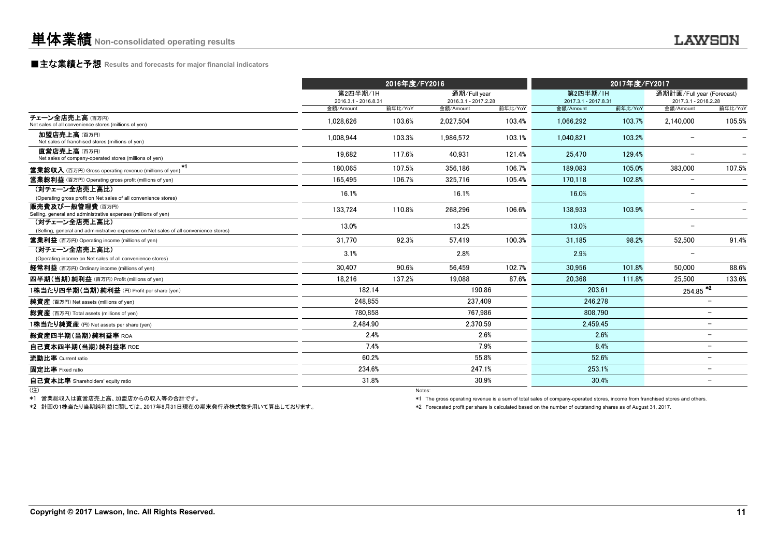### **■主な業績と予想** Results and forecasts for major financial indicators

|                                                                                                        |                                  | 2016年度/FY2016 |                                      |         |                                  | 2017年度/FY2017 |                                                   |                          |
|--------------------------------------------------------------------------------------------------------|----------------------------------|---------------|--------------------------------------|---------|----------------------------------|---------------|---------------------------------------------------|--------------------------|
|                                                                                                        | 第2四半期/1H<br>2016.3.1 - 2016.8.31 |               | 通期/Full year<br>2016.3.1 - 2017.2.28 |         | 第2四半期/1H<br>2017.3.1 - 2017.8.31 |               | 通期計画/Full year (Forecast)<br>2017.3.1 - 2018.2.28 |                          |
|                                                                                                        | 金額/Amount                        | 前年比/YoY       | 金額/Amount                            | 前年比/YoY | 金額/Amount                        | 前年比/YoY       | 金額/Amount                                         | 前年比/YoY                  |
| チェーン全店売上高(百万円)<br>Net sales of all convenience stores (millions of yen)                                | 1.028.626                        | 103.6%        | 2.027.504                            | 103.4%  | 1.066.292                        | 103.7%        | 2.140.000                                         | 105.5%                   |
| 加盟店売上高(百万円)<br>Net sales of franchised stores (millions of yen)                                        | 1.008.944                        | 103.3%        | 1.986.572                            | 103.1%  | 1.040.821                        | 103.2%        | $\overline{\phantom{0}}$                          |                          |
| 直営店売上高(百万円)<br>Net sales of company-operated stores (millions of yen)                                  | 19.682                           | 117.6%        | 40.931                               | 121.4%  | 25.470                           | 129.4%        | $\overline{\phantom{0}}$                          |                          |
| $*1$<br><b>営業総収入</b> (百万円) Gross operating revenue (millions of yen)                                   | 180.065                          | 107.5%        | 356.186                              | 106.7%  | 189.083                          | 105.0%        | 383.000                                           | 107.5%                   |
| <b>営業総利益</b> (百万円) Operating gross profit (millions of yen)                                            | 165.495                          | 106.7%        | 325.716                              | 105.4%  | 170.118                          | 102.8%        | $\overline{\phantom{0}}$                          |                          |
| (対チェーン全店売上高比)<br>(Operating gross profit on Net sales of all convenience stores)                       | 16.1%                            |               | 16.1%                                |         | 16.0%                            |               | $\overline{\phantom{0}}$                          |                          |
| 販売費及び一般管理費(百万円)<br>Selling, general and administrative expenses (millions of yen)                      | 133,724                          | 110.8%        | 268,296                              | 106.6%  | 138.933                          | 103.9%        |                                                   |                          |
| (対チェーン全店売上高比)<br>(Selling, general and administrative expenses on Net sales of all convenience stores) | 13.0%                            |               | 13.2%                                |         | 13.0%                            |               | $\overline{\phantom{0}}$                          |                          |
| <b>営業利益</b> (百万円) Operating income (millions of yen)                                                   | 31.770                           | 92.3%         | 57.419                               | 100.3%  | 31.185                           | 98.2%         | 52,500                                            | 91.4%                    |
| (対チェーン全店売上高比)<br>(Operating income on Net sales of all convenience stores)                             | 3.1%                             |               | 2.8%                                 |         | 2.9%                             |               |                                                   |                          |
| 経常利益 (百万円) Ordinary income (millions of yen)                                                           | 30.407                           | 90.6%         | 56.459                               | 102.7%  | 30.956                           | 101.8%        | 50.000                                            | 88.6%                    |
| 四半期(当期)純利益 (百万円) Profit (millions of yen)                                                              | 18.216                           | 137.2%        | 19.088                               | 87.6%   | 20,368                           | 111.8%        | 25,500                                            | 133.6%                   |
| 1株当たり四半期(当期)純利益 (円) Profit per share (yen)                                                             | 182.14                           |               | 190.86                               |         | 203.61                           |               | $\frac{254.85}{2}$                                |                          |
| 純資産 (百万円) Net assets (millions of yen)                                                                 | 248.855                          |               | 237.409                              |         | 246.278                          |               |                                                   |                          |
| 総資産 (百万円) Total assets (millions of yen)                                                               | 780.858                          |               | 767.986                              |         | 808.790                          |               |                                                   | $\overline{\phantom{0}}$ |
| 1株当たり純資産 (円) Net assets per share (yen)                                                                | 2.484.90                         |               | 2.370.59                             |         | 2.459.45                         |               |                                                   | Ξ.                       |
| 総資産四半期(当期)純利益率 ROA                                                                                     |                                  | 2.4%          |                                      | 2.6%    |                                  | 2.6%          |                                                   | -                        |
| 自己資本四半期(当期)純利益率 ROE                                                                                    |                                  | 7.4%          |                                      | 7.9%    |                                  | 8.4%          |                                                   |                          |
| 流動比率 Current ratio                                                                                     |                                  | 60.2%         |                                      | 55.8%   | 52.6%                            |               |                                                   | Ξ.                       |
| 固定比率 Fixed ratio                                                                                       | 234.6%                           |               | 247.1%                               |         | 253.1%                           |               |                                                   | $\overline{\phantom{0}}$ |
| 自己資本比率 Shareholders' equity ratio                                                                      | 31.8%                            |               |                                      | 30.9%   | 30.4%                            |               |                                                   |                          |
|                                                                                                        |                                  | Notes:        |                                      |         |                                  |               |                                                   |                          |

\*1 営業総収入は直営店売上高、加盟店からの収入等の合計です。

\*2 計画の1株当たり当期純利益に関しては、2017年8月31日現在の期末発行済株式数を用いて算出しております。

\*1 The gross operating revenue is a sum of total sales of company-operated stores, income from franchised stores and others.

\*2 Forecasted profit per share is calculated based on the number of outstanding shares as of August 31, 2017.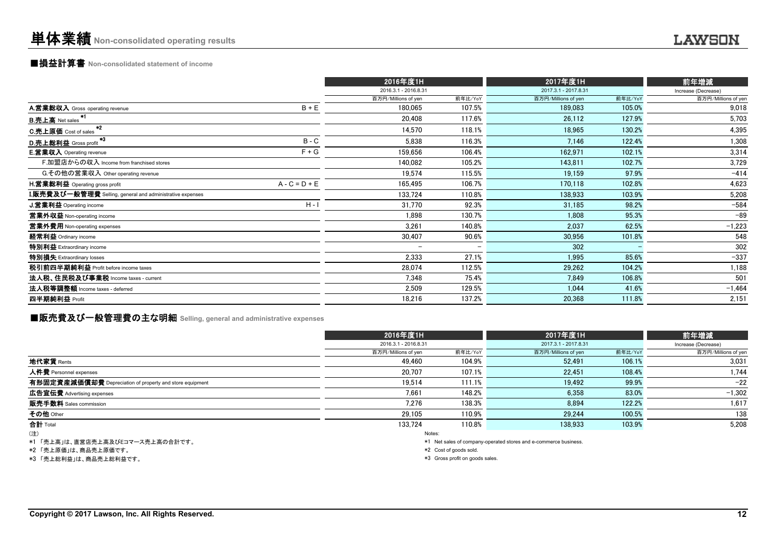## ■損益計算書 **Non-consolidated statement of income**

|                                                                  | 2016年度1H                 |         | 2017年度1H             |         | 前年増減                |
|------------------------------------------------------------------|--------------------------|---------|----------------------|---------|---------------------|
|                                                                  | 2016.3.1 - 2016.8.31     |         | 2017.3.1 - 2017.8.31 |         | Increase (Decrease) |
|                                                                  | 百万円/Millions of yen      | 前年比/YoY | 百万円/Millions of yen  | 前年比/YoY | 百万円/Millions of yen |
| $B + E$<br>A.営業総収入 Gross operating revenue                       | 180,065                  | 107.5%  | 189,083              | 105.0%  | 9,018               |
| <b>B.売上高</b> Net sales                                           | 20,408                   | 117.6%  | 26,112               | 127.9%  | 5,703               |
| $*2$<br><b>C.売上原価</b> Cost of sales                              | 14.570                   | 118.1%  | 18.965               | 130.2%  | 4,395               |
| *3<br>$B - C$<br>D.売上総利益 Gross profit                            | 5,838                    | 116.3%  | 7,146                | 122.4%  | 1,308               |
| $F + G$<br><b>E.営業収入</b> Operating revenue                       | 159.656                  | 106.4%  | 162,971              | 102.1%  | 3,314               |
| F.加盟店からの収入 Income from franchised stores                         | 140,082                  | 105.2%  | 143,811              | 102.7%  | 3,729               |
| G.その他の営業収入 Other operating revenue                               | 19.574                   | 115.5%  | 19,159               | 97.9%   | $-414$              |
| $A - C = D + E$<br>H.営業総利益 Operating gross profit                | 165,495                  | 106.7%  | 170,118              | 102.8%  | 4,623               |
| <b>I.販売費及び一般管理費</b> Selling, general and administrative expenses | 133.724                  | 110.8%  | 138,933              | 103.9%  | 5,208               |
| $H - I$<br>J.営業利益 Operating income                               | 31,770                   | 92.3%   | 31,185               | 98.2%   | $-584$              |
| 営業外収益 Non-operating income                                       | 1.898                    | 130.7%  | 1.808                | 95.3%   | $-89$               |
| 営業外費用 Non-operating expenses                                     | 3,261                    | 140.8%  | 2,037                | 62.5%   | $-1,223$            |
| 経常利益 Ordinary income                                             | 30,407                   | 90.6%   | 30,956               | 101.8%  | 548                 |
| 特別利益 Extraordinary income                                        | $\overline{\phantom{m}}$ |         | 302                  |         | 302                 |
| 特別損失 Extraordinary losses                                        | 2,333                    | 27.1%   | 1,995                | 85.6%   | $-337$              |
| 税引前四半期純利益 Profit before income taxes                             | 28,074                   | 112.5%  | 29,262               | 104.2%  | 1,188               |
| 法人税、住民税及び事業税 Income taxes - current                              | 7,348                    | 75.4%   | 7,849                | 106.8%  | 501                 |
| 法人税等調整額 Income taxes - deferred                                  | 2,509                    | 129.5%  | 1,044                | 41.6%   | $-1,464$            |
| 四半期純利益 Profit                                                    | 18,216                   | 137.2%  | 20,368               | 111.8%  | 2,151               |

# ■販売費及び一般管理費の主な明細 **Selling, general and administrative expenses**

|                                                                                                                      | 2016年度1H             |         | 2017年度1H                                                                                                                                                                                                                      |         | 前年増減                |
|----------------------------------------------------------------------------------------------------------------------|----------------------|---------|-------------------------------------------------------------------------------------------------------------------------------------------------------------------------------------------------------------------------------|---------|---------------------|
|                                                                                                                      | 2016.3.1 - 2016.8.31 |         | 2017.3.1 - 2017.8.31                                                                                                                                                                                                          |         | Increase (Decrease) |
|                                                                                                                      | 百万円/Millions of yen  | 前年比/YoY | 百万円/Millions of yen                                                                                                                                                                                                           | 前年比/YoY | 百万円/Millions of yen |
| 地代家賃 Rents                                                                                                           | 49.460               | 104.9%  | 52,491                                                                                                                                                                                                                        | 106.1%  | 3,031               |
| 人件費 Personnel expenses                                                                                               | 20.707               | 107.1%  | 22,451                                                                                                                                                                                                                        | 108.4%  | 1,744               |
| 有形固定資産減価償却費 Depreciation of property and store equipment                                                             | 19.514               | 111.1%  | 19.492                                                                                                                                                                                                                        | 99.9%   | $-22$               |
| 広告宣伝費 Advertising expenses                                                                                           | 7,661                | 148.2%  | 6,358                                                                                                                                                                                                                         | 83.0%   | $-1,302$            |
| 販売手数料 Sales commission                                                                                               | 7,276                | 138.3%  | 8.894                                                                                                                                                                                                                         | 122.2%  | 1,617               |
| その他 Other                                                                                                            | 29.105               | 110.9%  | 29.244                                                                                                                                                                                                                        | 100.5%  | 138                 |
| 合計 Total                                                                                                             | 133.724              | 110.8%  | 138.933                                                                                                                                                                                                                       | 103.9%  | 5,208               |
| (注)                                                                                                                  | Notes:               |         |                                                                                                                                                                                                                               |         |                     |
| المنافر والمستنقل والمستنقل المنافر والمستنقل والمستنقل والمستنقل والمستنقل والمنافرة والمتناورة والمستنقل والمنافرة |                      |         | . The contract of the contract of the contract of the contract of the contract of the contract of the contract of the contract of the contract of the contract of the contract of the contract of the contract of the contrac |         |                     |

\*1 「売上高」は、直営店売上高及びEコマース売上高の合計です。

\*2 「売上原価」は、商品売上原価です。

\*3 「売上総利益」は、商品売上総利益です。

\*1 Net sales of company-operated stores and e-commerce business.

\*2 Cost of goods sold.

\*3 Gross profit on goods sales.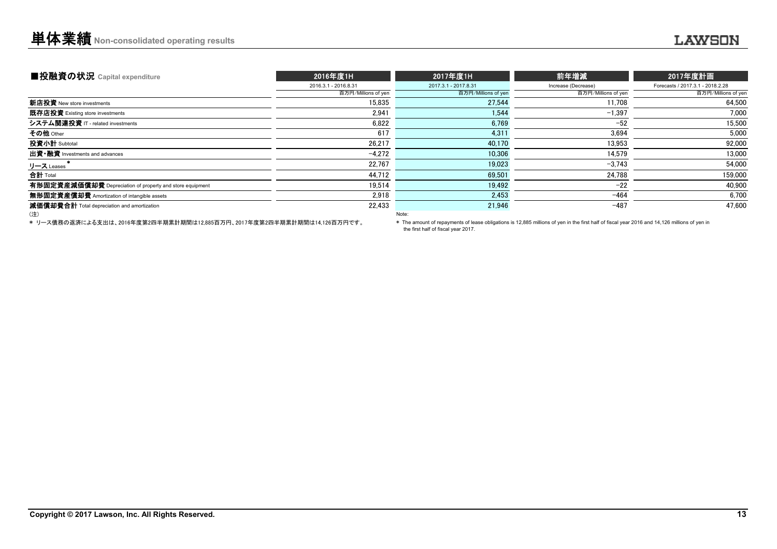| ■投融資の状況 Capital expenditure                              | 2016年度1H             | 2017年度1H             | 前年増減                | 2017年度計画                         |
|----------------------------------------------------------|----------------------|----------------------|---------------------|----------------------------------|
|                                                          | 2016.3.1 - 2016.8.31 | 2017.3.1 - 2017.8.31 | Increase (Decrease) | Forecasts / 2017.3.1 - 2018.2.28 |
|                                                          | 百万円/Millions of yen  | 百万円/Millions of yen  | 百万円/Millions of yen | 百万円/Millions of yen              |
| 新店投資 New store investments                               | 15.835               | 27.544               | 11.708              | 64.500                           |
| <b>既存店投資</b> Existing store investments                  | 2.941                | 1.544                | $-1.397$            | 7,000                            |
| システム関連投資 IT - related investments                        | 6,822                | 6.769                | $-52$               | 15.500                           |
| その他 <sub>Other</sub>                                     | 617                  | 4,31                 | 3.694               | 5,000                            |
| 投資小計 Subtotal                                            | 26.217               | 40,170               | 13.953              | 92,000                           |
| 出資 融資 Investments and advances                           | $-4.272$             | 10.306               | 14.579              | 13,000                           |
| リース Leases                                               | 22.767               | 19.023               | $-3,743$            | 54,000                           |
| <b>合計</b> Total                                          | 44,712               | 69.501               | 24,788              | 159,000                          |
| 有形固定資産減価償却費 Depreciation of property and store equipment | 19.514               | 19.492               | $-22$               | 40.900                           |
| <b>無形固定資産償却費</b> Amortization of intangible assets       | 2.918                | 2,453                | $-464$              | 6,700                            |
| 減価償却費合計 Total depreciation and amortization              | 22,433               | 21,946               | $-487$              | 47,600                           |
| (注)                                                      |                      | Note:                |                     |                                  |

\* リース債務の返済による支出は、2016年度第2四半期累計期間は12,885百万円、2017年度第2四半期累計期間は14,126百万円です。

\* The amount of repayments of lease obligations is 12,885 millions of yen in the first half of fiscal year 2016 and 14,126 millions of yen in the first half of fiscal year 2017.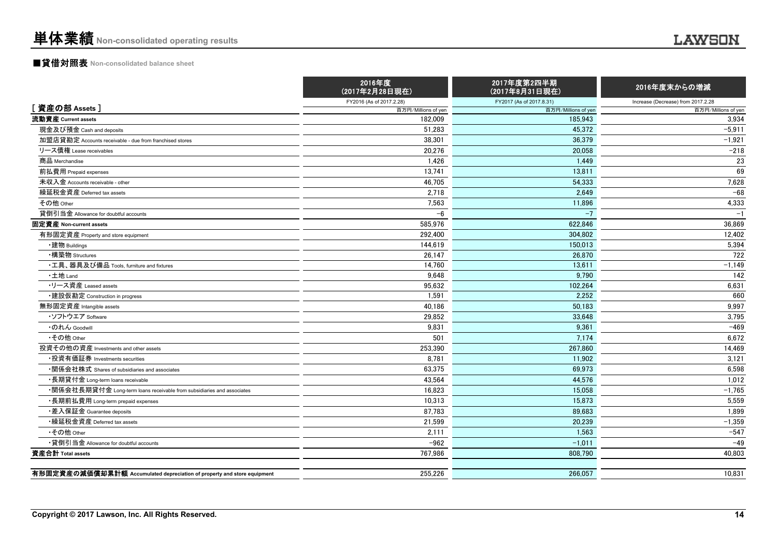# ■貸借対照表 **Non-consolidated balance sheet**

|                                                                         | 2016年度<br>(2017年2月28日現在) | 2017年度第2四半期<br>(2017年8月31日現在) | 2016年度末からの増減                       |
|-------------------------------------------------------------------------|--------------------------|-------------------------------|------------------------------------|
|                                                                         | FY2016 (As of 2017.2.28) | FY2017 (As of 2017.8.31)      | Increase (Decrease) from 2017.2.28 |
| [資産の部 Assets]                                                           | 百万円/Millions of yen      | 百万円/Millions of yen           | 百万円/Millions of yen                |
| 流動資産 Current assets                                                     | 182,009                  | 185,943                       | 3,934                              |
| 現金及び預金 Cash and deposits                                                | 51,283                   | 45,372                        | $-5,911$                           |
| 加盟店貸勘定 Accounts receivable - due from franchised stores                 | 38.301                   | 36.379                        | $-1.921$                           |
| リース債権 Lease receivables                                                 | 20,276                   | 20,058                        | $-218$                             |
| 商品 Merchandise                                                          | 1,426                    | 1.449                         | 23                                 |
| 前払費用 Prepaid expenses                                                   | 13,741                   | 13,811                        | 69                                 |
| 未収入金 Accounts receivable - other                                        | 46.705                   | 54.333                        | 7,628                              |
| 繰延税金資産 Deferred tax assets                                              | 2,718                    | 2.649                         | $-68$                              |
| その他 Other                                                               | 7,563                    | 11,896                        | 4,333                              |
| 貸倒引当金 Allowance for doubtful accounts                                   | $-6$                     | $-7$                          | $-1$                               |
| 固定資産 Non-current assets                                                 | 585.976                  | 622.846                       | 36.869                             |
| 有形固定資産 Property and store equipment                                     | 292.400                  | 304.802                       | 12,402                             |
| ・建物 Buildings                                                           | 144,619                  | 150,013                       | 5,394                              |
| ・構築物 Structures                                                         | 26,147                   | 26.870                        | 722                                |
| •工具、器具及び備品 Tools, furniture and fixtures                                | 14,760                   | 13,611                        | $-1,149$                           |
| ・土地 Land                                                                | 9,648                    | 9,790                         | 142                                |
| ---<br>-リース資産 Leased assets                                             | 95,632                   | 102,264                       | 6,631                              |
| ・建設仮勘定 Construction in progress                                         | 1,591                    | 2,252                         | 660                                |
| 無形固定資産 Intangible assets                                                | 40,186                   | 50,183                        | 9,997                              |
| ・ソフトウエア Software                                                        | 29,852                   | 33,648                        | 3,795                              |
| ・のれん Goodwill                                                           | 9.831                    | 9.361                         | $-469$                             |
| •その他 Other                                                              | 501                      | 7,174                         | 6,672                              |
| 投資その他の資産 Investments and other assets                                   | 253,390                  | 267,860                       | 14,469                             |
| •投資有価証券 Investments securities                                          | 8,781                    | 11,902                        | 3,121                              |
| •関係会社株式 Shares of subsidiaries and associates                           | 63,375                   | 69,973                        | 6,598                              |
| •長期貸付金 Long-term loans receivable                                       | 43,564                   | 44,576                        | 1,012                              |
| •関係会社長期貸付金 Long-term loans receivable from subsidiaries and associates  | 16,823                   | 15,058                        | $-1,765$                           |
| •長期前払費用 Long-term prepaid expenses                                      | 10,313                   | 15.873                        | 5.559                              |
| •差入保証金 Guarantee deposits                                               | 87.783                   | 89.683                        | 1.899                              |
| •繰延税金資産 Deferred tax assets                                             | 21,599                   | 20.239                        | $-1,359$                           |
| •その他 Other                                                              | 2,111                    | 1.563                         | $-547$                             |
| •貸倒引当金 Allowance for doubtful accounts                                  | $-962$                   | $-1,011$                      | $-49$                              |
| 資産合計 Total assets                                                       | 767,986                  | 808,790                       | 40,803                             |
| 有形固定資産の減価償却累計額 Accumulated depreciation of property and store equipment | 255,226                  | 266.057                       | 10,831                             |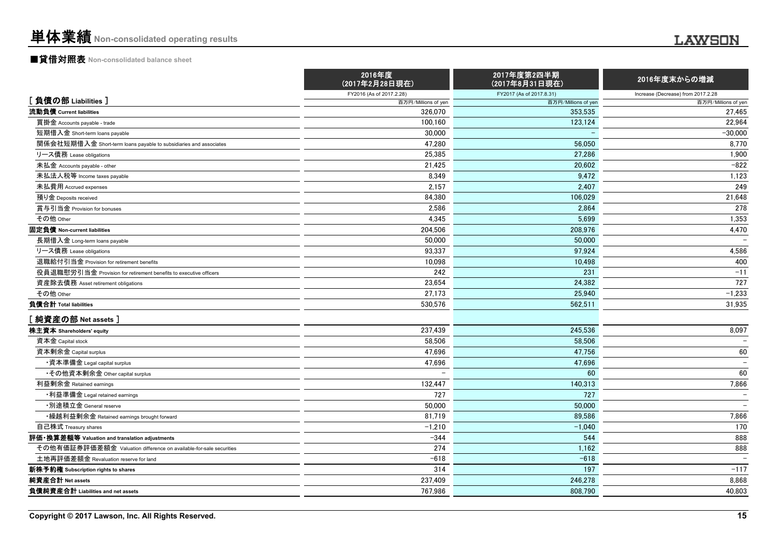## ■貸借対照表 **Non-consolidated balance sheet**

|                                                                    | 2016年度<br>(2017年2月28日現在) | 2017年度第2四半期<br>(2017年8月31日現在) | 2016年度末からの増減                       |
|--------------------------------------------------------------------|--------------------------|-------------------------------|------------------------------------|
|                                                                    | FY2016 (As of 2017.2.28) | FY2017 (As of 2017.8.31)      | Increase (Decrease) from 2017.2.28 |
| [負債の部 Liabilities]                                                 | 百万円/Millions of yen      | 百万円/Millions of yen           | 百万円/Millions of yen                |
| 流動負債 Current liabilities                                           | 326.070                  | 353.535                       | 27.465                             |
| 買掛金 Accounts payable - trade                                       | 100,160                  | 123,124                       | 22,964                             |
| 短期借入金 Short-term loans payable                                     | 30,000                   |                               | $-30,000$                          |
| 関係会社短期借入金 Short-term loans payable to subsidiaries and associates  | 47,280                   | 56,050                        | 8,770                              |
| リース債務 Lease obligations                                            | 25,385                   | 27,286                        | 1,900                              |
| 未払金 Accounts payable - other                                       | 21,425                   | 20,602                        | $-822$                             |
| 未払法人税等 Income taxes payable                                        | 8,349                    | 9.472                         | 1,123                              |
| 未払費用 Accrued expenses                                              | 2,157                    | 2,407                         | 249                                |
| 預り金 Deposits received                                              | 84.380                   | 106.029                       | 21,648                             |
| 賞与引当金 Provision for bonuses                                        | 2,586                    | 2.864                         | 278                                |
| その他 Other                                                          | 4,345                    | 5.699                         | 1,353                              |
| 固定負債 Non-current liabilities                                       | 204,506                  | 208,976                       | 4,470                              |
| 長期借入金 Long-term loans payable                                      | 50,000                   | 50,000                        |                                    |
| リース債務 Lease obligations                                            | 93.337                   | 97.924                        | 4,586                              |
| 退職給付引当金 Provision for retirement benefits                          | 10,098                   | 10.498                        | 400                                |
| 役員退職慰労引当金 Provision for retirement benefits to executive officers  | 242                      | 231                           | $-11$                              |
| 資産除去債務 Asset retirement obligations                                | 23,654                   | 24,382                        | 727                                |
| その他 Other                                                          | 27,173                   | 25,940                        | $-1,233$                           |
| 負債合計 Total liabilities                                             | 530,576                  | 562,511                       | 31,935                             |
| [純資産の部 Net assets]                                                 |                          |                               |                                    |
| 株主資本 Shareholders' equity                                          | 237,439                  | 245,536                       | 8,097                              |
| 資本金 Capital stock                                                  | 58,506                   | 58.506                        | $\overline{\phantom{0}}$           |
| 資本剰余金 Capital surplus                                              | 47.696                   | 47.756                        | 60                                 |
| ・資本準備金 Legal capital surplus                                       | 47,696                   | 47.696                        | $\overline{\phantom{m}}$           |
| •その他資本剰余金 Other capital surplus                                    |                          | 60                            | 60                                 |
| 利益剰余金 Retained earnings                                            | 132,447                  | 140,313                       | 7,866                              |
| ・利益準備金 Legal retained earnings                                     | 727                      | 727                           |                                    |
| ・別途積立金 General reserve                                             | 50,000                   | 50,000                        |                                    |
| ・繰越利益剰余金 Retained earnings brought forward                         | 81,719                   | 89.586                        | 7,866                              |
| 自己株式 Treasury shares                                               | $-1,210$                 | $-1.040$                      | 170                                |
| 評価・換算差額等 Valuation and translation adjustments                     | $-344$                   | 544                           | 888                                |
| その他有価証券評価差額金 Valuation difference on available-for-sale securities | 274                      | 1,162                         | 888                                |
| 土地再評価差額金 Revaluation reserve for land                              | $-618$                   | $-618$                        | $\overline{\phantom{m}}$           |
| 新株予約権 Subscription rights to shares                                | 314                      | 197                           | $-117$                             |
| 純資産合計 Net assets                                                   | 237,409                  | 246,278                       | 8,868                              |
| 負債純資産合計 Liabilities and net assets                                 | 767.986                  | 808.790                       | 40.803                             |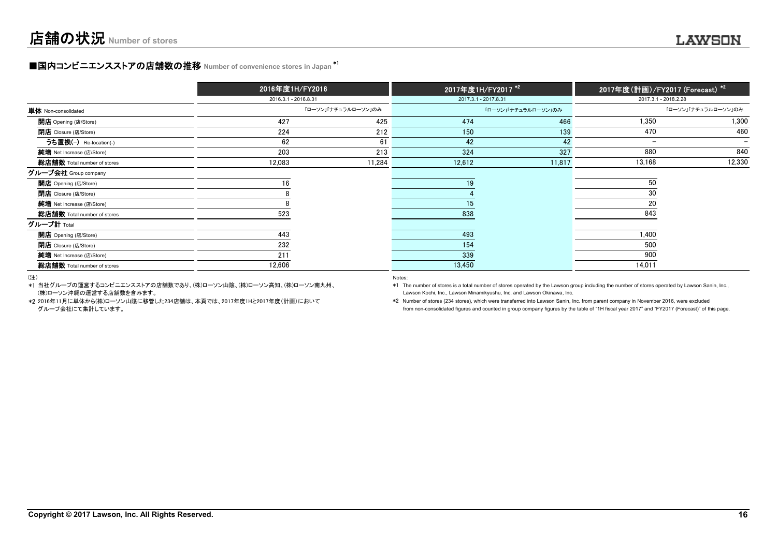### **■国内コンビニエンスストアの店舗数の推移 Number of convenience stores in Japan \*1**

|                                  | 2016年度1H/FY2016      |                     | 2017年度1H/FY2017 <sup>*2</sup> |                     | 2017年度(計画)/FY2017 (Forecast) *2 |                     |
|----------------------------------|----------------------|---------------------|-------------------------------|---------------------|---------------------------------|---------------------|
|                                  | 2016.3.1 - 2016.8.31 |                     | 2017.3.1 - 2017.8.31          |                     | 2017.3.1 - 2018.2.28            |                     |
| 単体 Non-consolidated              |                      | 「ローソン」「ナチュラルローソン」のみ |                               | 「ローソン」「ナチュラルローソン」のみ |                                 | 「ローソン」「ナチュラルローソン」のみ |
| <b>開店</b> Opening (店/Store)      | 427                  | 425                 | 474                           | 466                 | 1.350                           | 1,300               |
| <b>閉店</b> Closure (店/Store)      | 224                  | 212                 | 150                           | 139                 | 470                             | 460                 |
| うち置換(-) Re-location(-)           | 62                   | 61                  | 42                            | 42                  | $-$                             | -                   |
| 純増 Net Increase (店/Store)        | 203                  | 213                 | 324                           | 327                 | 880                             | 840                 |
| 総店舗数 Total number of stores      | 12,083               | 11,284              | 12,612                        | 11,817              | 13,168                          | 12,330              |
| グループ会社 Group company             |                      |                     |                               |                     |                                 |                     |
| <b>開店</b> Opening (店/Store)      | 16                   |                     | 19                            |                     | 50                              |                     |
| <b>閉店</b> Closure (店/Store)      |                      |                     |                               |                     | 30                              |                     |
| <b>純増</b> Net Increase (店/Store) |                      |                     | 15                            |                     | 20                              |                     |
| 総店舗数 Total number of stores      | 523                  |                     | 838                           |                     | 843                             |                     |
| グループ計 Total                      |                      |                     |                               |                     |                                 |                     |
| <b>開店</b> Opening (店/Store)      | 443                  |                     | 493                           |                     | 1.400                           |                     |
| 閉店 Closure (店/Store)             | 232                  |                     | 154                           |                     | 500                             |                     |
| 純増 Net Increase (店/Store)        | 211                  |                     | 339                           |                     | 900                             |                     |
| 総店舗数 Total number of stores      | 12,606               |                     | 13,450                        |                     | 14,011                          |                     |

(注)

\*1 当社グループの運営するコンビニエンスストアの店舗数であり、(株)ローソン山陰、(株)ローソン高知、(株)ローソン南九州、(株)ローソン沖縄の運営する店舗数を含みます。 Lawson Kochi, Inc., Lawson Minamikyushu, Inc. and Lawson Okinawa, Inc.

\*2 2016年11月に単体から(株)ローソン山陰に移管した234店舗は、本頁では、2017年度1Hと2017年度(計画)において

Notes:

\*1 The number of stores is a total number of stores operated by the Lawson group including the number of stores operated by Lawson Sanin, Inc.,

 \*2 Number of stores (234 stores), which were transferred into Lawson Sanin, Inc. from parent company in November 2016, were excluded グループ会社にて集計しています。 from non-consolidated figures and counted in group company figures by the table of "1H fiscal year 2017" and "FY2017 (Forecast)" of this page.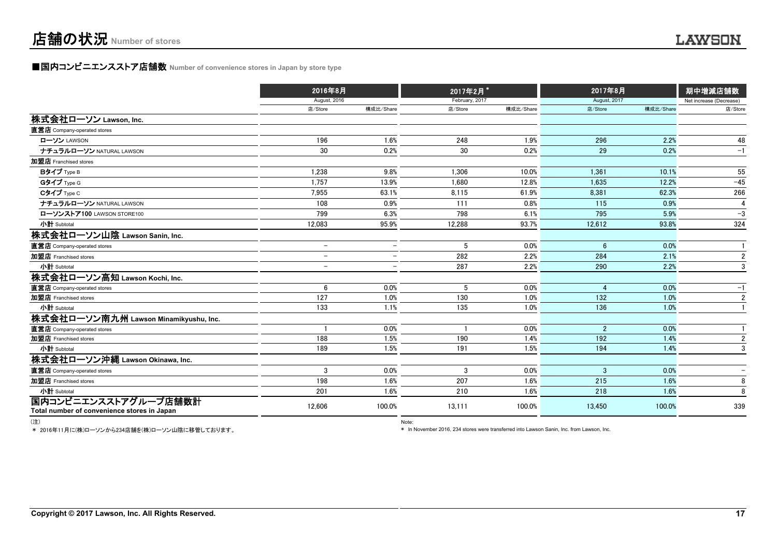### **■国内コンビニエンスストア店舗数 Number of convenience stores in Japan by store type**

|                                             | 2016年8月                  |                          | 2017年2月*       |           | 2017年8月        |           | 期中増減店舗数                 |
|---------------------------------------------|--------------------------|--------------------------|----------------|-----------|----------------|-----------|-------------------------|
|                                             | <b>August, 2016</b>      |                          | February, 2017 |           | August, 2017   |           | Net increase (Decrease) |
|                                             | 店/Store                  | 構成比/Share                | 店/Store        | 構成比/Share | 店/Store        | 構成比/Share | 店/Store                 |
| 株式会社ローソン Lawson, Inc.                       |                          |                          |                |           |                |           |                         |
| 直営店 Company-operated stores                 |                          |                          |                |           |                |           |                         |
| ローソン LAWSON                                 | 196                      | 1.6%                     | 248            | 1.9%      | 296            | 2.2%      | 48                      |
| ナチュラルローソン NATURAL LAWSON                    | 30                       | 0.2%                     | 30             | 0.2%      | 29             | 0.2%      | $-1$                    |
| 加盟店 Franchised stores                       |                          |                          |                |           |                |           |                         |
| Bタイプ Type B                                 | 1.238                    | 9.8%                     | 1.306          | 10.0%     | 1.361          | 10.1%     | 55                      |
| Gタイプ Type G                                 | 1,757                    | 13.9%                    | 1,680          | 12.8%     | 1,635          | 12.2%     | $-45$                   |
| Cタイプ Type C                                 | 7,955                    | 63.1%                    | 8,115          | 61.9%     | 8,381          | 62.3%     | 266                     |
| ナチュラルローソン NATURAL LAWSON                    | 108                      | 0.9%                     | 111            | 0.8%      | 115            | 0.9%      | 4                       |
| ローソンストア100 LAWSON STORE100                  | 799                      | 6.3%                     | 798            | 6.1%      | 795            | 5.9%      | $-3$                    |
| 小計 Subtotal                                 | 12,083                   | 95.9%                    | 12,288         | 93.7%     | 12,612         | 93.8%     | 324                     |
| 株式会社ローソン山陰 Lawson Sanin, Inc.               |                          |                          |                |           |                |           |                         |
| 直営店 Company-operated stores                 | $\overline{\phantom{m}}$ | $\overline{\phantom{0}}$ | 5              | 0.0%      | 6              | 0.0%      |                         |
| 加盟店 Franchised stores                       | $\overline{\phantom{0}}$ | $\qquad \qquad -$        | 282            | 2.2%      | 284            | 2.1%      | $\overline{\mathbf{c}}$ |
| 小計 Subtotal                                 | $\overline{\phantom{0}}$ | $\overline{\phantom{0}}$ | 287            | 2.2%      | 290            | 2.2%      | 3                       |
| 株式会社ローソン高知 Lawson Kochi, Inc.               |                          |                          |                |           |                |           |                         |
| 直営店 Company-operated stores                 | 6                        | 0.0%                     | 5              | 0.0%      | 4              | 0.0%      | $-1$                    |
| 加盟店 Franchised stores                       | 127                      | 1.0%                     | 130            | 1.0%      | 132            | 1.0%      | $\overline{2}$          |
| 小計 Subtotal                                 | 133                      | 1.1%                     | 135            | 1.0%      | 136            | 1.0%      |                         |
| 株式会社ローソン南九州 Lawson Minamikyushu, Inc.       |                          |                          |                |           |                |           |                         |
| 直営店 Company-operated stores                 |                          | 0.0%                     |                | 0.0%      | $\overline{2}$ | 0.0%      |                         |
| 加盟店 Franchised stores                       | 188                      | 1.5%                     | 190            | 1.4%      | 192            | 1.4%      | $\overline{2}$          |
| 小計 Subtotal                                 | 189                      | 1.5%                     | 191            | 1.5%      | 194            | 1.4%      | 3                       |
| 株式会社ローソン沖縄 Lawson Okinawa, Inc.             |                          |                          |                |           |                |           |                         |
| 直営店 Company-operated stores                 | 3                        | 0.0%                     | 3              | 0.0%      | 3              | 0.0%      |                         |
| 加盟店 Franchised stores                       | 198                      | 1.6%                     | 207            | 1.6%      | 215            | 1.6%      | 8                       |
| 小計 Subtotal                                 | 201                      | 1.6%                     | 210            | 1.6%      | 218            | 1.6%      | 8                       |
| 国内コンビニエンスストアグループ店舗数計                        | 12,606                   | 100.0%                   | 13,111         | 100.0%    | 13,450         | 100.0%    | 339                     |
| Total number of convenience stores in Japan |                          |                          |                |           |                |           |                         |

(注) Note:

\* 2016年11月に(株)ローソンから234店舗を(株)ローソン山陰に移管しております。

\* In November 2016, 234 stores were transferred into Lawson Sanin, Inc. from Lawson, Inc.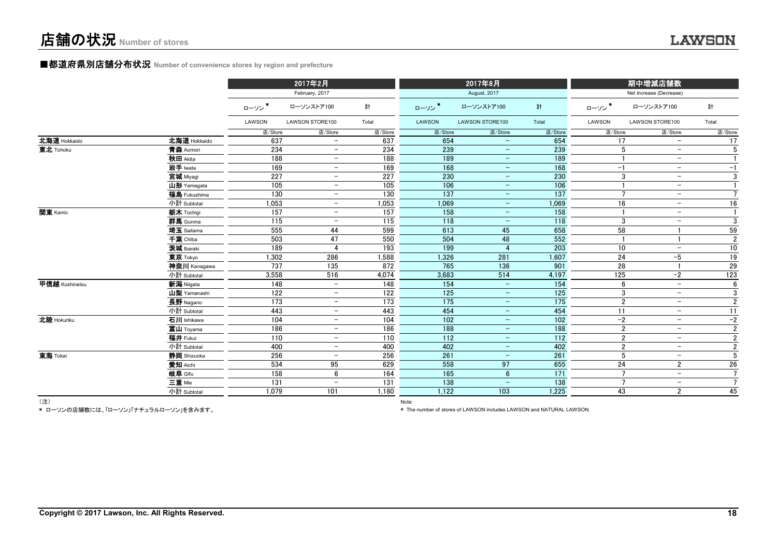# ■都道府県別店舗分布状況 **Number of convenience stores by region and prefecture**

|                |              |         | 2017年2月                  |         |         | 2017年8月                  |                  |         | 期中増減店舗数                                    |                |
|----------------|--------------|---------|--------------------------|---------|---------|--------------------------|------------------|---------|--------------------------------------------|----------------|
|                |              |         | February, 2017           |         |         | August, 2017             |                  |         | Net increase (Decrease)                    |                |
|                |              | ローソン*   | ローソンストア100               | 計       | ローソン*   | ローソンストア100               | 計                | ローソン*   | ローソンストア100                                 | 計              |
|                |              | LAWSON  | LAWSON STORE100          | Total   | LAWSON  | <b>LAWSON STORE100</b>   | Total            | LAWSON  | LAWSON STORE100                            | Total          |
|                |              | 店/Store | 店/Store                  | 店/Store | 店/Store | 店/Store                  | 店/Store          | 店/Store | 店/Store                                    | 店/Store        |
| 北海道 Hokkaido   | 北海道 Hokkaido | 637     |                          | 637     | 654     | $\qquad \qquad -$        | 654              | 17      | $\overline{\phantom{m}}$                   | 17             |
| 東北 Tohoku      | 青森 Aomori    | 234     | $\overline{\phantom{m}}$ | 234     | 239     | $\qquad \qquad -$        | 239              |         | 5<br>$-$                                   | 5              |
|                | 秋田 Akita     | 188     | $\qquad \qquad -$        | 188     | 189     | $\overline{\phantom{m}}$ | 189              |         | $\overline{\phantom{m}}$                   |                |
|                | 岩手 Iwate     | 169     | $\overline{\phantom{0}}$ | 169     | 168     | $\equiv$                 | 168              | $-1$    | $\overline{\phantom{m}}$                   | $-1$           |
|                | 宮城 Miyagi    | 227     | $\overline{\phantom{0}}$ | 227     | 230     | $-$                      | 230              |         | 3<br>$\overline{\phantom{m}}$              | 3              |
|                | 山形 Yamagata  | 105     |                          | 105     | 106     | $-$                      | 106              |         | $\overline{\phantom{m}}$                   |                |
|                | 福島 Fukushima | 130     | $\overline{\phantom{0}}$ | 130     | 137     | $\qquad \qquad -$        | $\overline{137}$ |         | $\overline{7}$<br>$\overline{\phantom{m}}$ | $\overline{7}$ |
|                | 小計 Subtotal  | 1,053   |                          | 1,053   | 1,069   | $-$                      | 1,069            | 16      | $\overline{\phantom{m}}$                   | 16             |
| 関東 Kanto       | 栃木 Tochigi   | 157     | $\qquad \qquad -$        | 157     | 158     | $\equiv$                 | 158              |         | $\overline{\phantom{m}}$                   |                |
|                | 群馬 Gunma     | 115     |                          | 115     | 118     | $\overline{\phantom{m}}$ | 118              |         | 3<br>$\overline{\phantom{0}}$              | 3              |
|                | 埼玉 Saitama   | 555     | 44                       | 599     | 613     | 45                       | 658              | 58      |                                            | 59             |
|                | 千葉 Chiba     | 503     | 47                       | 550     | 504     | 48                       | 552              |         |                                            | $\overline{2}$ |
|                | 茨城 Ibaraki   | 189     |                          | 193     | 199     | $\overline{4}$           | 203              | 10      | $\overline{\phantom{0}}$                   | 10             |
|                | 東京 Tokyo     | 1,302   | 286                      | 1,588   | 1,326   | 281                      | 1,607            | 24      | $-5$                                       | 19             |
|                | 神奈川 Kanagawa | 737     | 135                      | 872     | 765     | 136                      | 901              | 28      |                                            | 29             |
|                | 小計 Subtotal  | 3,558   | 516                      | 4,074   | 3,683   | 514                      | 4,197            | 125     | $-2$                                       | 123            |
| 甲信越 Koshinetsu | 新潟 Niigata   | 148     | $\qquad \qquad -$        | 148     | 154     | $\qquad \qquad -$        | 154              |         | 6<br>$\overline{\phantom{a}}$              | 6              |
|                | 山梨 Yamanashi | 122     | $\overline{\phantom{0}}$ | 122     | 125     | $\overline{\phantom{m}}$ | 125              |         | 3<br>$\overline{\phantom{m}}$              | 3              |
|                | 長野 Nagano    | 173     | $\overline{\phantom{0}}$ | 173     | 175     | $-$                      | 175              |         | $\overline{2}$<br>$\overline{\phantom{m}}$ | $\overline{2}$ |
|                | 小計 Subtotal  | 443     | -                        | 443     | 454     | $-$                      | 454              | 11      | $\overline{\phantom{m}}$                   | 11             |
| 北陸 Hokuriku    | 石川 Ishikawa  | 104     | $\overline{\phantom{0}}$ | 104     | 102     | $\equiv$                 | 102              | $-2$    | $\overline{\phantom{m}}$                   | $-2$           |
|                | 富山 Toyama    | 186     | $\overline{\phantom{0}}$ | 186     | 188     | $-$                      | 188              |         | $\overline{2}$<br>$\overline{\phantom{m}}$ | $\overline{2}$ |
|                | 福井 Fukui     | 110     |                          | 110     | 112     | $\qquad \qquad -$        | 112              |         | $\overline{2}$<br>$\overline{\phantom{0}}$ | $\overline{2}$ |
|                | 小計 Subtotal  | 400     | $\qquad \qquad -$        | 400     | 402     | $\equiv$                 | 402              |         | $\overline{2}$<br>$-$                      | $\overline{2}$ |
| 東海 Tokai       | 静岡 Shizuoka  | 256     |                          | 256     | 261     |                          | 261              |         | 5<br>$\overline{\phantom{m}}$              | $\overline{5}$ |
|                | 愛知 Aichi     | 534     | 95                       | 629     | 558     | 97                       | 655              | 24      | $\overline{2}$                             | 26             |
|                | 岐阜 Gifu      | 158     | 6                        | 164     | 165     | $6\phantom{1}$           | 171              |         | $\overline{7}$<br>$\overline{\phantom{m}}$ | $\overline{7}$ |
|                | 三重 Mie       | 131     |                          | 131     | 138     | $\qquad \qquad -$        | 138              |         | $\overline{7}$<br>$\overline{\phantom{0}}$ |                |
|                | 小計 Subtotal  | 1.079   | 101                      | 1.180   | 1,122   | 103                      | 1,225            | 43      | $\overline{2}$                             | 45             |

(注) Note:

\* ローソンの店舗数には、「ローソン」「ナチュラルローソン」を含みます。

\* The number of stores of LAWSON includes LAWSON and NATURAL LAWSON.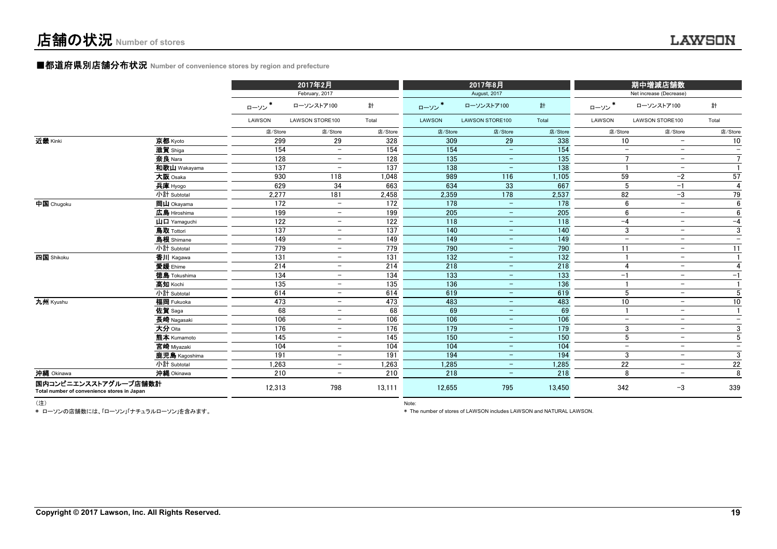## ■都道府県別店舗分布状況 Number of convenience stores by region and prefecture

|                                                                     |                                                         |                  | 2017年2月                  |                  |         | 2017年8月                  |         |                          | 期中増減店舗数                  |                          |
|---------------------------------------------------------------------|---------------------------------------------------------|------------------|--------------------------|------------------|---------|--------------------------|---------|--------------------------|--------------------------|--------------------------|
|                                                                     |                                                         |                  | February, 2017           |                  |         | August, 2017             |         |                          | Net increase (Decrease)  |                          |
|                                                                     |                                                         | ローソン             | ローソンストア100               | 計                | ローソン*   | ローソンストア100               | 計       | ローソン*                    | ローソンストア100               | 計                        |
|                                                                     |                                                         | LAWSON           | LAWSON STORE100          | Total            | LAWSON  | LAWSON STORE100          | Total   | LAWSON                   | LAWSON STORE100          | Total                    |
|                                                                     |                                                         | 店/Store          | 店/Store                  | 店/Store          | 店/Store | 店/Store                  | 店/Store | 店/Store                  | 店/Store                  | 店/Store                  |
| 近畿 Kinki                                                            | 京都 Kyoto                                                | 299              | 29                       | 328              | 309     | 29                       | 338     | 10                       | $\overline{\phantom{0}}$ | 10                       |
|                                                                     | 滋賀 Shiga                                                | 154              | $\overline{\phantom{m}}$ | 154              | 154     | $\overline{\phantom{m}}$ | 154     | $\overline{\phantom{a}}$ | $\overline{\phantom{a}}$ | $\qquad \qquad -$        |
|                                                                     | 奈良 Nara                                                 | 128              | $\overline{\phantom{m}}$ | 128              | 135     | $\overline{\phantom{a}}$ | 135     | $\overline{7}$           | $\overline{\phantom{a}}$ | $\overline{7}$           |
|                                                                     | 和歌山 Wakayama                                            | 137              | $\overline{\phantom{a}}$ | 137              | 138     | $\qquad \qquad -$        | 138     |                          | $\overline{\phantom{m}}$ | $\overline{1}$           |
|                                                                     | 大阪 Osaka                                                | 930              | 118                      | 1.048            | 989     | 116                      | 1,105   | 59                       | $-2$                     | 57                       |
|                                                                     | 兵庫 Hyogo                                                | 629              | 34                       | 663              | 634     | 33                       | 667     | 5                        | $-1$                     | $\overline{4}$           |
|                                                                     | 小計 Subtotal                                             | 2,277            | 181                      | 2,458            | 2,359   | 178                      | 2,537   | 82                       | $-3$                     | 79                       |
| 中国 Chugoku                                                          | 岡山 Okayama                                              | 172              | $\equiv$                 | $\overline{172}$ | 178     | $\equiv$                 | 178     | 6                        | $\overline{\phantom{m}}$ | 6                        |
|                                                                     | 広島 Hiroshima                                            | 199              | $-$                      | 199              | 205     | $\overline{\phantom{a}}$ | 205     | 6                        | $\overline{\phantom{a}}$ | 6                        |
|                                                                     | $\mathbf{\mathsf{H}}$ $\mathbf{\mathsf{\Pi}}$ Yamaquchi | 122              | $\qquad \qquad -$        | 122              | 118     | $\overline{\phantom{m}}$ | 118     | $-4$                     | $\overline{\phantom{m}}$ | $-4$                     |
|                                                                     | 鳥取 Tottori                                              | 137              | $-$                      | 137              | 140     | $\equiv$                 | 140     | 3                        | $\overline{\phantom{a}}$ | 3                        |
|                                                                     | 島根 Shimane                                              | 149              | $-$                      | 149              | 149     | $-$                      | 149     | $\overline{\phantom{a}}$ | $\overline{\phantom{a}}$ | $\qquad \qquad -$        |
|                                                                     | 小計 Subtotal                                             | 779              | $\overline{\phantom{m}}$ | 779              | 790     | $\equiv$                 | 790     | 11                       | $\overline{\phantom{m}}$ | 11                       |
| 四国 Shikoku                                                          | 香川 Kagawa                                               | 131              | $-$                      | 131              | 132     | $\overline{\phantom{a}}$ | 132     |                          | $\overline{\phantom{a}}$ | $\overline{1}$           |
|                                                                     | 愛媛 Ehime                                                | 214              | $\overline{\phantom{m}}$ | 214              | 218     | $-$                      | 218     | -4                       | $\overline{\phantom{a}}$ | 4                        |
|                                                                     | 徳島 Tokushima                                            | 134              | $\overline{\phantom{m}}$ | 134              | 133     | $\equiv$                 | 133     | $-1$                     | $\overline{\phantom{m}}$ | $-1$                     |
|                                                                     | 高知 Kochi                                                | 135              | $\overline{\phantom{a}}$ | 135              | 136     | $-$                      | 136     |                          | $\overline{\phantom{a}}$ | $\overline{1}$           |
|                                                                     | 小計 Subtotal                                             | 614              | $-$                      | 614              | 619     | $\overline{\phantom{m}}$ | 619     | 5                        | $\overline{\phantom{m}}$ | 5                        |
| 九州 Kyushu                                                           | 福岡 Fukuoka                                              | 473              | $-$                      | 473              | 483     | $-$                      | 483     | 10                       | $\overline{\phantom{m}}$ | 10                       |
|                                                                     | 佐賀 Saga                                                 | 68               | $\overline{\phantom{m}}$ | 68               | 69      | $\overline{\phantom{m}}$ | 69      | $\blacksquare$           | $\overline{\phantom{m}}$ | $\overline{1}$           |
|                                                                     | 長崎 Nagasaki                                             | 106              | $\overline{\phantom{m}}$ | 106              | 106     | $\overline{\phantom{a}}$ | 106     | $-$                      | $\overline{\phantom{a}}$ | $\qquad \qquad -$        |
|                                                                     | 大分 Oita                                                 | 176              | $\qquad \qquad -$        | 176              | 179     | $\equiv$                 | 179     | 3                        | $\qquad \qquad -$        | 3                        |
|                                                                     | 熊本 Kumamoto                                             | 145              | $-$                      | 145              | 150     | $\equiv$                 | 150     | 5                        | $\overline{\phantom{m}}$ | 5                        |
|                                                                     | 宮崎 Miyazaki                                             | 104              | $\overline{\phantom{m}}$ | 104              | 104     | $-$                      | 104     | $\qquad \qquad -$        | $\overline{\phantom{a}}$ | $\overline{\phantom{0}}$ |
|                                                                     | 鹿児島 Kagoshima                                           | 191              | $\overline{\phantom{0}}$ | 191              | 194     | $\overline{\phantom{m}}$ | 194     | 3                        | $\overline{\phantom{a}}$ | 3                        |
|                                                                     | 小計 Subtotal                                             | 1.263            | $\qquad \qquad -$        | 1,263            | 1,285   | $\qquad \qquad -$        | 1,285   | 22                       | $\overline{\phantom{a}}$ | 22                       |
| 沖縄 Okinawa                                                          | 沖縄 Okinawa                                              | $\overline{210}$ | $\overline{\phantom{0}}$ | 210              | 218     | $\equiv$                 | 218     | 8                        | $\overline{\phantom{0}}$ | 8                        |
| 国内コンビニエンスストアグループ店舗数計<br>Total number of convenience stores in Japan |                                                         | 12,313           | 798                      | 13,111           | 12,655  | 795                      | 13,450  | 342                      | $-3$                     | 339                      |

\* ローソンの店舗数には、「ローソン」「ナチュラルローソン」を含みます。

(注) Note:

\* The number of stores of LAWSON includes LAWSON and NATURAL LAWSON.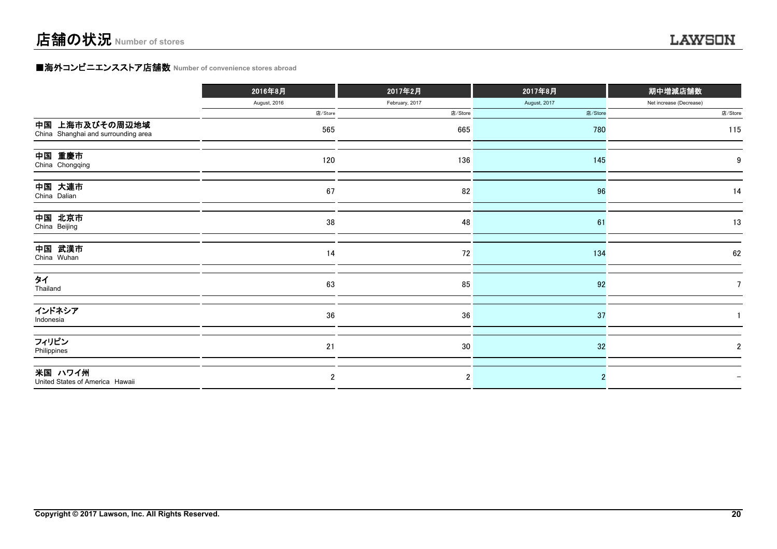### **■海外コンビニエンスストア店舗数 Number of convenience stores abroad**

|                                                       | 2016年8月        | 2017年2月        | 2017年8月      | 期中増減店舗数                 |
|-------------------------------------------------------|----------------|----------------|--------------|-------------------------|
|                                                       | August, 2016   | February, 2017 | August, 2017 | Net increase (Decrease) |
|                                                       | 店/Store        | 店/Store        | 店/Store      | 店/Store                 |
| 中国 上海市及びその周辺地域<br>China Shanghai and surrounding area | 565            | 665            | 780          | 115                     |
| 中国 重慶市<br>China Chongqing                             | 120            | 136            | 145          | 9                       |
| 中国 大連市<br>China Dalian                                | 67             | 82             | 96           | 14                      |
| 中国 北京市<br>China Beijing                               | 38             | 48             | 61           | 13                      |
| 中国 武漢市<br>China Wuhan                                 | 14             | 72             | 134          | 62                      |
| タイ<br>Thailand                                        | 63             | 85             | 92           |                         |
| インドネシア<br>Indonesia                                   | 36             | 36             | 37           |                         |
| フィリピン<br>Philippines                                  | 21             | 30             | 32           | 2                       |
| 米国 ハワイ州<br>United States of America Hawaii            | $\overline{2}$ | $\overline{2}$ |              |                         |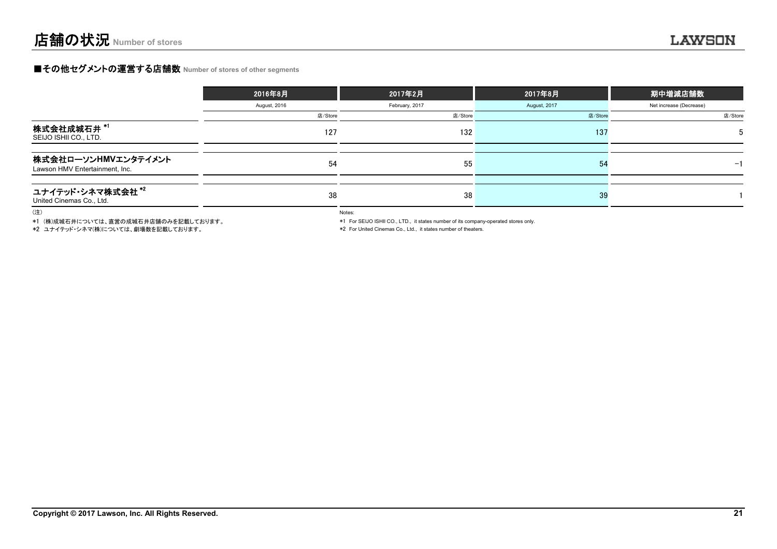### **■その他セグメントの運営する店舗数 Number of stores of other segments**

|                                                          | 2016年8月      | 2017年2月        | 2017年8月      | 期中増減店舗数                 |
|----------------------------------------------------------|--------------|----------------|--------------|-------------------------|
|                                                          | August, 2016 | February, 2017 | August, 2017 | Net increase (Decrease) |
|                                                          | 店/Store      | 店/Store        | 店/Store      | 店/Store                 |
| 株式会社成城石井 *1<br>SEIJO ISHII CO., LTD.                     | 127          | 132            | 137          | .5                      |
| 株式会社ローソンHMVエンタテイメント<br>Lawson HMV Entertainment, Inc.    | 54           | 55             | 54           | -1                      |
| ユナイテッド・シネマ株式会社 <sup>*2</sup><br>United Cinemas Co., Ltd. | 38           | 38             | 39           |                         |

(注)

\*1 (株)成城石井については、直営の成城石井店舗のみを記載しております。

\*2 ユナイテッド・シネマ(株)については、劇場数を記載しております。

Notes:

\*1 For SEIJO ISHII CO., LTD., it states number of its company-operated stores only.

\*2 For United Cinemas Co., Ltd., it states number of theaters.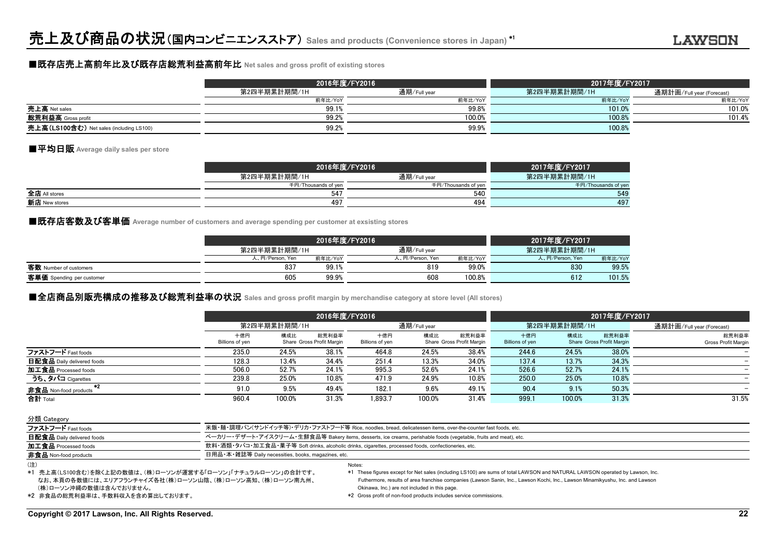### ■既存店売上高前年比及び既存店総荒利益高前年比 **Net sales and gross profit of existing stores**

|                                          |              | 2016年度/FY2016 | 2017年度/FY2017 |                           |  |
|------------------------------------------|--------------|---------------|---------------|---------------------------|--|
|                                          | 第2四半期累計期間/1H | 通期/Full year  | 第2四半期累計期間/1H  | 通期計画/Full year (Forecast) |  |
|                                          | 前年比/YoY      | 前年比/YoY       | 前年比/YoY       | 前年比/YoY                   |  |
| 売上高 Net sales                            | 99.1%        | 99.8%         | 101.0%        | 101.0%                    |  |
| 総荒利益高 Gross profit                       | 99.2%        | 100.0%        | 100.8%        | 101.4%                    |  |
| 売上高(LS100含む) Net sales (including LS100) | 99.2%        | 99.9%         | 100.8%        |                           |  |

### ■平均日販 **Average daily sales per store**

|               | 2016年度/FY2016       |                     | 2017年度/FY2017       |
|---------------|---------------------|---------------------|---------------------|
|               | 第2四半期累計期間/1H        | 通期/Full year        | 第2四半期累計期間/1H        |
|               | 千円/Thousands of yen | 千円/Thousands of yen | 千円/Thousands of yen |
| 全店 All stores | 54                  | 540                 | 549                 |
| 新店 New stores | 49                  | 494                 | 497                 |

■既存店客数及び客単価 Average number of customers and average spending per customer at exsisting stores

|                           |                 | 2016年度/FY2016 |                 |         |                 |         |  |
|---------------------------|-----------------|---------------|-----------------|---------|-----------------|---------|--|
|                           | 第2四半期累計期間/1H    |               | 通期/Full year    |         | 第2四半期累計期間/1H    |         |  |
|                           | 人、円/Person, Yen | 前年比/YoY       | 人、円/Person, Yen | 前年比/YoY | 人、円/Person, Yen | 前年比/YoY |  |
| 客数 Number of customers    | 837             | 99.1%         | 819             | 99.0%   | 830             | 99.5%   |  |
| 客単価 Spending per customer | 605             | 99.9%         | 608             | 100.8%  | 612             | 101.5%  |  |

### **■全店商品別販売構成の推移及び総荒利益率の状況** Sales and gross profit margin by merchandise category at store level (All stores)

|                               |                        | 2016年度/FY2016 |                                    |                        |              |                                    |                        |                           | 2017年度/FY2017                      |                              |  |  |
|-------------------------------|------------------------|---------------|------------------------------------|------------------------|--------------|------------------------------------|------------------------|---------------------------|------------------------------------|------------------------------|--|--|
|                               | 第2四半期累計期間/1H           |               | 通期/Full year                       |                        | 第2四半期累計期間/1H |                                    |                        | 通期計画/Full year (Forecast) |                                    |                              |  |  |
|                               | 十億円<br>Billions of yen | 構成比           | 総荒利益率<br>Share Gross Profit Margin | 十億円<br>Billions of yen | 構成比          | 総荒利益率<br>Share Gross Profit Margin | 十億円<br>Billions of yen | 構成比                       | 総荒利益率<br>Share Gross Profit Margin | 総荒利益率<br>Gross Profit Margin |  |  |
| ファストフード Fast foods            | 235.0                  | 24.5%         | 38.1%                              | 464.8                  | 24.5%        | 38.4%                              | 244.6                  | 24.5%                     | 38.0%                              |                              |  |  |
| 日配食品 Daily delivered foods    | 128.3                  | 13.4%         | 34.4%                              | 251.4                  | 13.3%        | 34.0%                              | 137.4                  | 13.7%                     | 34.3%                              |                              |  |  |
| 加工食品 Processed foods          | 506.0                  | 52.7%         | 24.1%                              | 995.3                  | 52.6%        | 24.1%                              | 526.6                  | 52.7%                     | 24.1%                              |                              |  |  |
| うち、タバコ Cigarettes             | 239.8                  | 25.0%         | 10.8%                              | 471.9                  | 24.9%        | 10.8%                              | 250.0                  | 25.0%                     | 10.8%                              |                              |  |  |
| $+2$<br>非食品 Non-food products | 91.0                   | 9.5%          | 49.4%                              | 182.1                  | 9.6%         | 49.1%                              | 90.4                   | 9.1%                      | 50.3%                              |                              |  |  |
| 合計 Total                      | 960.4                  | 100.0%        | 31.3%                              | 1.893.7                | 100.0%       | 31.4%                              | 999.1                  | 100.0%                    | 31.3%                              | 31.5%                        |  |  |

分類 Category ファストフード Fast foods カランド イン・スタック - 米飯・麺・調理パン(サンドイッチ等)・デリカ・ファストフード等 Rice, noodles, bread, delicatessen items, over-the-counter fast foods, etc. 日配食品 Daily delivered foods contained to the contact of the mail of the form of the foods (vegetable, fruits and meat), etc. 加工食品 Processed foods 飲料・酒類・タバコ・加工食品・菓子等 Soft drinks, alcoholic drinks, cigarettes, processed foods, confectioneries, etc. 非食品 Non-food products **example and according to the Control of Term** 日用品·本·雑誌等 Daily necessities, books, magazines, etc Notes:(注)

 (株)ローソン沖縄の数値は含んでおりません。 なお、本頁の各数値には、エリアフランチャイズ各社(株)ローソン山陰、(株)ローソン高知、(株)ローソン南九州、 \*1 売上高(LS100含む)を除く上記の数値は、(株)ローソンが運営する「ローソン」「ナチュラルローソン」の合計です。 \*1 These figures except for Net sales (including LS100) are sums of total LAWSON and NATURAL LAWSON operated by Lawson, Inc. Futhermore, results of area franchise companies (Lawson Sanin, Inc., Lawson Kochi, Inc., Lawson Minamikyushu, Inc. and Lawson Okinawa, Inc.) are not included in this page.

\*2 非食品の総荒利益率は、手数料収入を含め算出しております。 \*2 Gross profit of non-food products includes service commissions.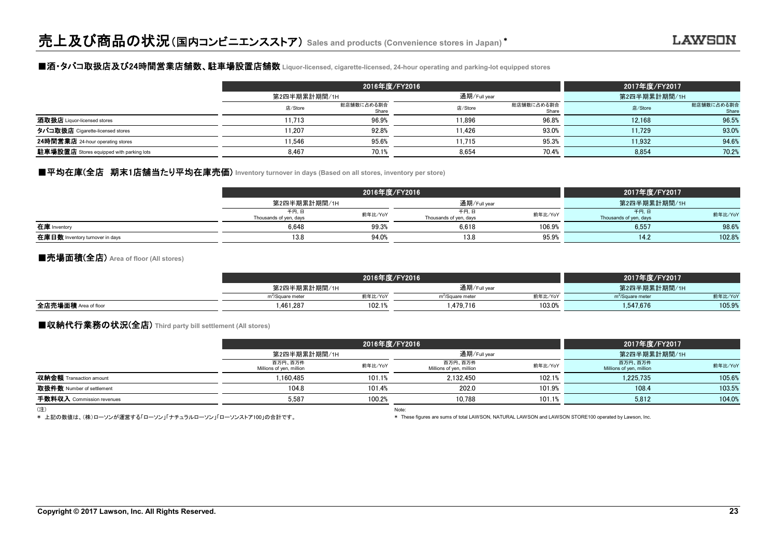### ■酒・タバコ取扱店及び24時間営業店舗数、駐車場設置店舗数 **Liquor-licensed, cigarette-licensed, 24-hour operating and parking-lot equipped stores**

|                                                 |              | 2016年度/FY2016       |              | 2017年度/FY2017       |              |                     |
|-------------------------------------------------|--------------|---------------------|--------------|---------------------|--------------|---------------------|
|                                                 | 第2四半期累計期間/1H |                     | 通期/Full year |                     | 第2四半期累計期間/1H |                     |
|                                                 | 店/Store      | 総店舗数に占める割合<br>Share | 店/Store      | 総店舗数に占める割合<br>Share | 店/Store      | 総店舗数に占める割合<br>Share |
| <b>酒取扱店</b> Liquor-licensed stores              | 1.713        | 96.9%               | 11.896       | 96.8%               | 12.168       | 96.5%               |
| タバコ取扱店 Cigarette-licensed stores                | 1.207        | 92.8%               | 11.426       | 93.0%               | 11.729       | 93.0%               |
| 24時間営業店 24-hour operating stores                | 1.546        | 95.6%               | 11.715       | 95.3%               | 11.932       | 94.6%               |
| <b>駐車場設置店</b> Stores equipped with parking lots | 8.467        | 70.1%               | 8.654        | 70.4%               | 8.854        | 70.2%               |

### ■平均在庫(全店 期末1店舗当たり平均在庫売価) Inventory turnover in days (Based on all stores, inventory per store)

|                                 |                                | 2016年度/FY2016 | 2017年度/FY2017                  |         |                                |         |
|---------------------------------|--------------------------------|---------------|--------------------------------|---------|--------------------------------|---------|
|                                 | 第2四半期累計期間/1H                   |               | 通期/Full year                   |         | 第2四半期累計期間/1H                   |         |
|                                 | 千円、日<br>Thousands of yen, days | 前年比/YoY       | 千円,日<br>Thousands of yen, days | 前年比/YoY | 千円、日<br>Thousands of yen, days | 前年比/YoY |
| 在庫 Inventory                    | 6.648                          | 99.3%         | 6.618                          | 106.9%  | 6.557                          | 98.6%   |
| 在庫日数 Inventory turnover in days | 13.8                           | 94.0%         | 13.8                           | 95.9%   | 14.2                           | 102.8%  |

### ■売場面積(全店) **Area of floor (All stores)**

|                      |                              |         | 2017年度/FY2017                |         |                              |         |
|----------------------|------------------------------|---------|------------------------------|---------|------------------------------|---------|
|                      | 第2四半期累計期間/1H                 |         | 通期/Full year                 |         | 第2四半期累計期間/1H                 |         |
|                      | m <sup>2</sup> /Square meter | 前年比/YoY | m <sup>2</sup> /Square meter | 前年比/YoY | m <sup>2</sup> /Square meter | 前年比/YoY |
| 全店売場面積 Area of floor | .461.287                     | 102.1%  | .479.716                     | 103.0%  | 547.676                      | 105.9%  |

# ■収納代行業務の状況(全店) **Third party bill settlement (All stores)**

|                                |                                     | 2016年度/FY2016 |                                     | 2017年度/FY2017 |                                     |         |
|--------------------------------|-------------------------------------|---------------|-------------------------------------|---------------|-------------------------------------|---------|
|                                | 第2四半期累計期間/1H                        |               | 通期/Full year                        |               | 第2四半期累計期間/1H                        |         |
|                                | 百万円、百万件<br>Millions of yen, million | 前年比/YoY       | 百万円、百万件<br>Millions of yen, million | 前年比/YoY       | 百万円、百万件<br>Millions of yen, million | 前年比/YoY |
| <b>収納金額</b> Transaction amount | 1.160.485                           | 101.1%        | 2.132.450                           | 102.1%        | 1.225.735                           | 105.6%  |
| 取扱件数 Number of settlement      | 104.8                               | 101.4%        | 202.0                               | 101.9%        | 108.4                               | 103.5%  |
| 手数料収入 Commission revenues      | 5.587                               | 100.2%        | 10.788                              | 101.1%        | 5.812                               | 104.0%  |
| (注)                            |                                     | Note:         |                                     |               |                                     |         |

\* 上記の数値は、(株)ローソンが運営する「ローソン」「ナチュラルローソン」「ローソンストア100」の合計です。

\* These figures are sums of total LAWSON, NATURAL LAWSON and LAWSON STORE100 operated by Lawson, Inc.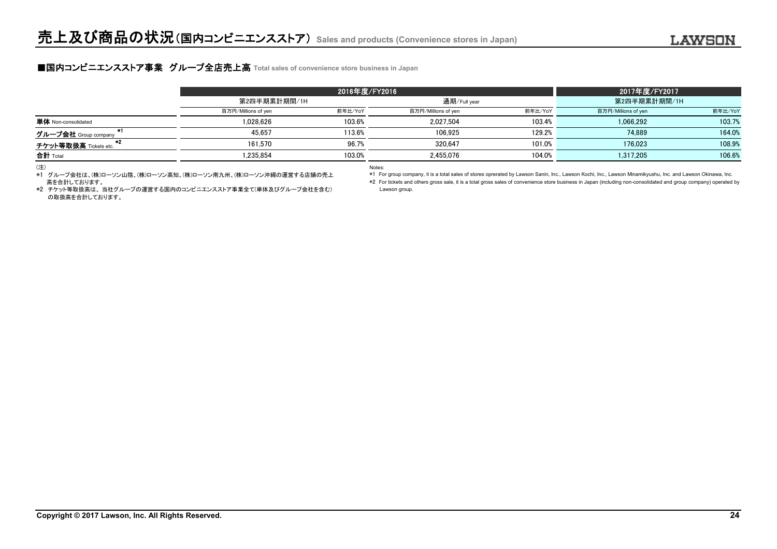### **■国内コンビニエンスストア事業 グループ全店売上高** Total sales of convenience store business in Japan

|                       | 2016年度/FY2016       |         |                     |              | 2017年度/FY2017       |              |  |
|-----------------------|---------------------|---------|---------------------|--------------|---------------------|--------------|--|
|                       | 第2四半期累計期間/1H        |         |                     | 通期/Full year |                     | 第2四半期累計期間/1H |  |
|                       | 百万円/Millions of yen | 前年比/YoY | 百万円/Millions of yen | 前年比/YoY      | 百万円/Millions of yen | 前年比/YoY      |  |
| 単体 Non-consolidated   | 1.028.626           | 103.6%  | 2.027.504           | 103.4%       | 1.066.292           | 103.7%       |  |
| グループ会社 Group company  | 45.657              | 113.6%  | 106.925             | 129.2%       | 74.889              | 164.0%       |  |
| チケット等取扱高 Tickets etc. | 161.570             | 96.7%   | 320.647             | 101.0%       | 176.023             | 108.9%       |  |
| 合計 Total              | .235.854            | 103.0%  | 2.455.076           | 104.0%       | 1.317.205           | 106.6%       |  |

\*1 グループ会社は、(株)ローソン山陰、(株)ローソン高知、(株)ローソン南九州、(株)ローソン沖縄の運営する店舗の売上 高を合計しております。

(注) Notes:

\*1 For group company, it is a total sales of stores oprerated by Lawson Sanin, Inc., Lawson Kochi, Inc., Lawson Minamikyushu, Inc. and Lawson Okinawa, Inc.

\*2 For tickets and others gross sale, it is a total gross sales of convenience store business in Japan (including non-consolidated and group company) operated by

\*2 チケット等取扱高は、 当社グループの運営する国内のコンビニエンスストア事業全て(単体及びグループ会社を含む) Lawson group. の取扱高を合計しております。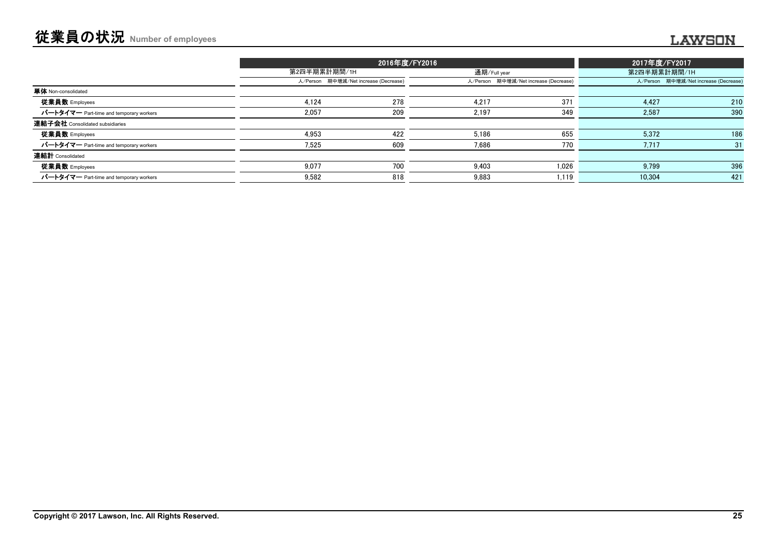# 従業員の状況 **Number of employees** ........

|                                         |       | 2016年度/FY2016                         |       |                                       |        | 2017年度/FY2017                         |  |
|-----------------------------------------|-------|---------------------------------------|-------|---------------------------------------|--------|---------------------------------------|--|
|                                         |       | 第2四半期累計期間/1H                          |       | 通期/Full year                          |        | 第2四半期累計期間/1H                          |  |
|                                         |       | 人/Person 期中増減/Net increase (Decrease) |       | 人/Person 期中増減/Net increase (Decrease) |        | 人/Person 期中増減/Net increase (Decrease) |  |
| 単体 Non-consolidated                     |       |                                       |       |                                       |        |                                       |  |
| 従業員数 Employees                          | 4.124 | 278                                   | 4.217 | 371                                   | 4.427  | 210                                   |  |
| パートタイマー Part-time and temporary workers | 2,057 | 209                                   | 2,197 | 349                                   | 2,587  | 390                                   |  |
| 連結子会社 Consolidated subsidiaries         |       |                                       |       |                                       |        |                                       |  |
| 従業員数 Employees                          | 4.953 | 422                                   | 5.186 | 655                                   | 5.372  | 186                                   |  |
| パートタイマー Part-time and temporary workers | 7.525 | 609                                   | 7.686 | 770                                   | 7,717  | 31                                    |  |
| 連結計 Consolidated                        |       |                                       |       |                                       |        |                                       |  |
| 従業員数 Employees                          | 9.077 | 700                                   | 9.403 | 1.026                                 | 9.799  | 396                                   |  |
| パートタイマー Part-time and temporary workers | 9.582 | 818                                   | 9.883 | 1.119                                 | 10.304 | 421                                   |  |